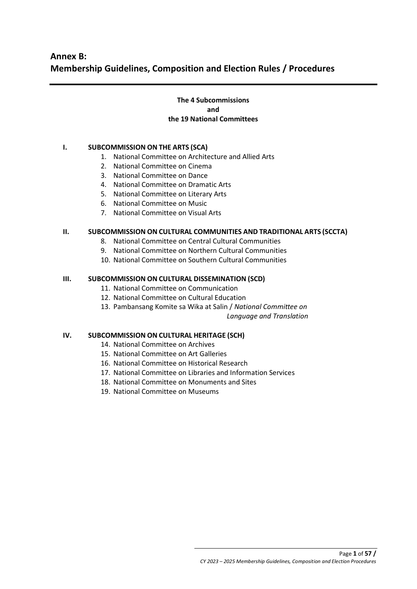# **The 4 Subcommissions and the 19 National Committees**

# **I. SUBCOMMISSION ON THE ARTS (SCA)**

- 1. National Committee on Architecture and Allied Arts
- 2. National Committee on Cinema
- 3. National Committee on Dance
- 4. National Committee on Dramatic Arts
- 5. National Committee on Literary Arts
- 6. National Committee on Music
- 7. National Committee on Visual Arts

## **II. SUBCOMMISSION ON CULTURAL COMMUNITIES AND TRADITIONAL ARTS (SCCTA)**

- 8. National Committee on Central Cultural Communities
- 9. National Committee on Northern Cultural Communities
- 10. National Committee on Southern Cultural Communities

## **III. SUBCOMMISSION ON CULTURAL DISSEMINATION (SCD)**

- 11. National Committee on Communication
- 12. National Committee on Cultural Education
- 13. Pambansang Komite sa Wika at Salin / *National Committee on*

*Language and Translation*

## **IV. SUBCOMMISSION ON CULTURAL HERITAGE (SCH)**

- 14. National Committee on Archives
- 15. National Committee on Art Galleries
- 16. National Committee on Historical Research
- 17. National Committee on Libraries and Information Services
- 18. National Committee on Monuments and Sites
- 19. National Committee on Museums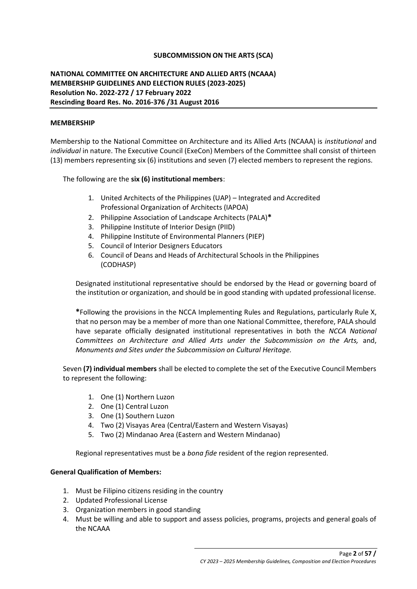## **SUBCOMMISSION ON THE ARTS (SCA)**

# **NATIONAL COMMITTEE ON ARCHITECTURE AND ALLIED ARTS (NCAAA) MEMBERSHIP GUIDELINES AND ELECTION RULES (2023-2025) Resolution No. 2022-272 / 17 February 2022 Rescinding Board Res. No. 2016-376 /31 August 2016**

### **MEMBERSHIP**

Membership to the National Committee on Architecture and its Allied Arts (NCAAA) is *institutional* and *individual* in nature. The Executive Council (ExeCon) Members of the Committee shall consist of thirteen (13) members representing six (6) institutions and seven (7) elected members to represent the regions.

The following are the **six (6) institutional members**:

- 1. United Architects of the Philippines (UAP) Integrated and Accredited Professional Organization of Architects (IAPOA)
- 2. Philippine Association of Landscape Architects (PALA)**\***
- 3. Philippine Institute of Interior Design (PIID)
- 4. Philippine Institute of Environmental Planners (PIEP)
- 5. Council of Interior Designers Educators
- 6. Council of Deans and Heads of Architectural Schools in the Philippines (CODHASP)

Designated institutional representative should be endorsed by the Head or governing board of the institution or organization, and should be in good standing with updated professional license.

**\***Following the provisions in the NCCA Implementing Rules and Regulations, particularly Rule X, that no person may be a member of more than one National Committee, therefore, PALA should have separate officially designated institutional representatives in both the *NCCA National Committees on Architecture and Allied Arts under the Subcommission on the Arts,* and, *Monuments and Sites under the Subcommission on Cultural Heritage.* 

Seven **(7) individual members** shall be elected to complete the set of the Executive Council Members to represent the following:

- 1. One (1) Northern Luzon
- 2. One (1) Central Luzon
- 3. One (1) Southern Luzon
- 4. Two (2) Visayas Area (Central/Eastern and Western Visayas)
- 5. Two (2) Mindanao Area (Eastern and Western Mindanao)

Regional representatives must be a *bona fide* resident of the region represented.

#### **General Qualification of Members:**

- 1. Must be Filipino citizens residing in the country
- 2. Updated Professional License
- 3. Organization members in good standing
- 4. Must be willing and able to support and assess policies, programs, projects and general goals of the NCAAA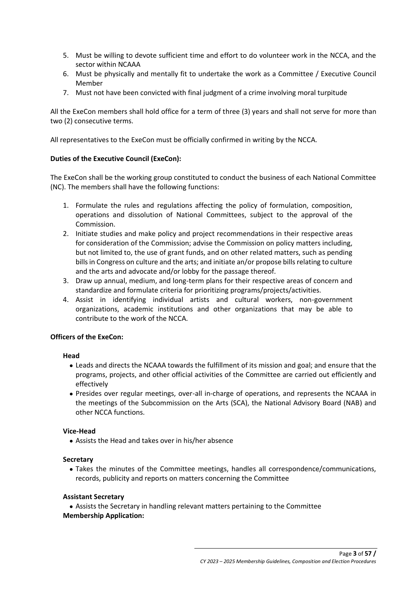- 5. Must be willing to devote sufficient time and effort to do volunteer work in the NCCA, and the sector within NCAAA
- 6. Must be physically and mentally fit to undertake the work as a Committee / Executive Council Member
- 7. Must not have been convicted with final judgment of a crime involving moral turpitude

All the ExeCon members shall hold office for a term of three (3) years and shall not serve for more than two (2) consecutive terms.

All representatives to the ExeCon must be officially confirmed in writing by the NCCA.

## **Duties of the Executive Council (ExeCon):**

The ExeCon shall be the working group constituted to conduct the business of each National Committee (NC). The members shall have the following functions:

- 1. Formulate the rules and regulations affecting the policy of formulation, composition, operations and dissolution of National Committees, subject to the approval of the Commission.
- 2. Initiate studies and make policy and project recommendations in their respective areas for consideration of the Commission; advise the Commission on policy matters including, but not limited to, the use of grant funds, and on other related matters, such as pending bills in Congress on culture and the arts; and initiate an/or propose bills relating to culture and the arts and advocate and/or lobby for the passage thereof.
- 3. Draw up annual, medium, and long-term plans for their respective areas of concern and standardize and formulate criteria for prioritizing programs/projects/activities.
- 4. Assist in identifying individual artists and cultural workers, non-government organizations, academic institutions and other organizations that may be able to contribute to the work of the NCCA.

## **Officers of the ExeCon:**

## **Head**

- Leads and directs the NCAAA towards the fulfillment of its mission and goal; and ensure that the programs, projects, and other official activities of the Committee are carried out efficiently and effectively
- Presides over regular meetings, over-all in-charge of operations, and represents the NCAAA in the meetings of the Subcommission on the Arts (SCA), the National Advisory Board (NAB) and other NCCA functions.

## **Vice-Head**

• Assists the Head and takes over in his/her absence

## **Secretary**

• Takes the minutes of the Committee meetings, handles all correspondence/communications, records, publicity and reports on matters concerning the Committee

## **Assistant Secretary**

● Assists the Secretary in handling relevant matters pertaining to the Committee **Membership Application:**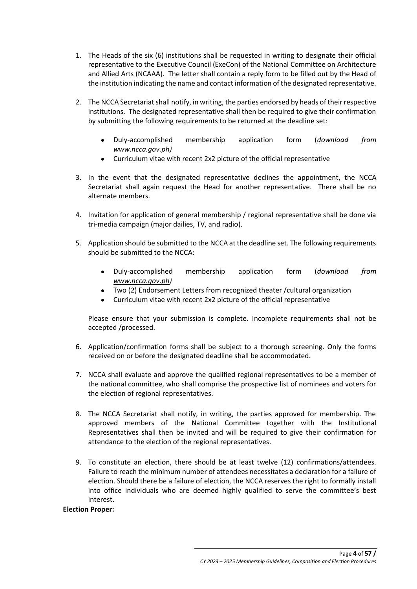- 1. The Heads of the six (6) institutions shall be requested in writing to designate their official representative to the Executive Council (ExeCon) of the National Committee on Architecture and Allied Arts (NCAAA). The letter shall contain a reply form to be filled out by the Head of the institution indicating the name and contact information of the designated representative.
- 2. The NCCA Secretariat shall notify, in writing, the parties endorsed by heads of their respective institutions. The designated representative shall then be required to give their confirmation by submitting the following requirements to be returned at the deadline set:
	- Duly-accomplished membership application form (*download from [www.ncca.gov.ph\)](http://www.ncca.gov.ph/)*
	- Curriculum vitae with recent 2x2 picture of the official representative
- 3. In the event that the designated representative declines the appointment, the NCCA Secretariat shall again request the Head for another representative. There shall be no alternate members.
- 4. Invitation for application of general membership / regional representative shall be done via tri-media campaign (major dailies, TV, and radio).
- 5. Application should be submitted to the NCCA at the deadline set. The following requirements should be submitted to the NCCA:
	- Duly-accomplished membership application form (*download from [www.ncca.gov.ph\)](http://www.ncca.gov.ph/)*
	- Two (2) Endorsement Letters from recognized theater /cultural organization
	- Curriculum vitae with recent 2x2 picture of the official representative

Please ensure that your submission is complete. Incomplete requirements shall not be accepted /processed.

- 6. Application/confirmation forms shall be subject to a thorough screening. Only the forms received on or before the designated deadline shall be accommodated.
- 7. NCCA shall evaluate and approve the qualified regional representatives to be a member of the national committee, who shall comprise the prospective list of nominees and voters for the election of regional representatives.
- 8. The NCCA Secretariat shall notify, in writing, the parties approved for membership. The approved members of the National Committee together with the Institutional Representatives shall then be invited and will be required to give their confirmation for attendance to the election of the regional representatives.
- 9. To constitute an election, there should be at least twelve (12) confirmations/attendees. Failure to reach the minimum number of attendees necessitates a declaration for a failure of election. Should there be a failure of election, the NCCA reserves the right to formally install into office individuals who are deemed highly qualified to serve the committee's best interest.

## **Election Proper:**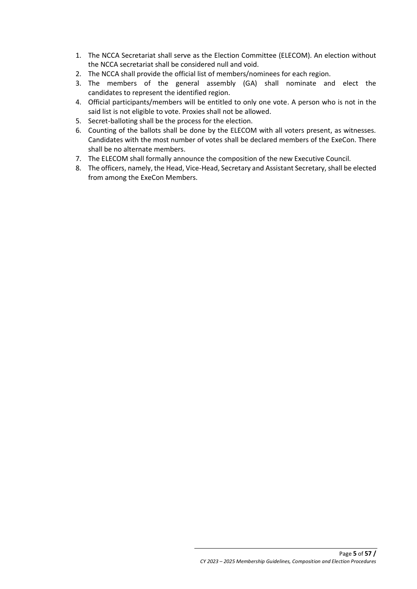- 1. The NCCA Secretariat shall serve as the Election Committee (ELECOM). An election without the NCCA secretariat shall be considered null and void.
- 2. The NCCA shall provide the official list of members/nominees for each region.
- 3. The members of the general assembly (GA) shall nominate and elect the candidates to represent the identified region.
- 4. Official participants/members will be entitled to only one vote. A person who is not in the said list is not eligible to vote. Proxies shall not be allowed.
- 5. Secret-balloting shall be the process for the election.
- 6. Counting of the ballots shall be done by the ELECOM with all voters present, as witnesses. Candidates with the most number of votes shall be declared members of the ExeCon. There shall be no alternate members.
- 7. The ELECOM shall formally announce the composition of the new Executive Council.
- 8. The officers, namely, the Head, Vice-Head, Secretary and Assistant Secretary, shall be elected from among the ExeCon Members.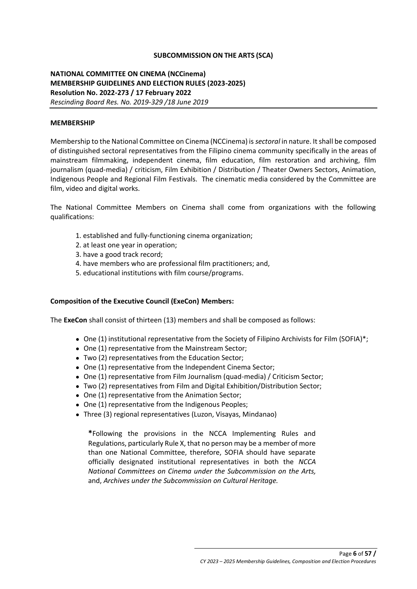## **SUBCOMMISSION ON THE ARTS (SCA)**

# **NATIONAL COMMITTEE ON CINEMA (NCCinema) MEMBERSHIP GUIDELINES AND ELECTION RULES (2023-2025) Resolution No. 2022-273 / 17 February 2022** *Rescinding Board Res. No. 2019-329 /18 June 2019*

#### **MEMBERSHIP**

Membership to the National Committee on Cinema (NCCinema) is *sectoral* in nature. It shall be composed of distinguished sectoral representatives from the Filipino cinema community specifically in the areas of mainstream filmmaking, independent cinema, film education, film restoration and archiving, film journalism (quad-media) / criticism, Film Exhibition / Distribution / Theater Owners Sectors, Animation, Indigenous People and Regional Film Festivals. The cinematic media considered by the Committee are film, video and digital works.

The National Committee Members on Cinema shall come from organizations with the following qualifications:

- 1. established and fully-functioning cinema organization;
- 2. at least one year in operation;
- 3. have a good track record;
- 4. have members who are professional film practitioners; and,
- 5. educational institutions with film course/programs.

#### **Composition of the Executive Council (ExeCon) Members:**

The **ExeCon** shall consist of thirteen (13) members and shall be composed as follows:

- One (1) institutional representative from the Society of Filipino Archivists for Film (SOFIA)\*;
- One (1) representative from the Mainstream Sector;
- Two (2) representatives from the Education Sector;
- One (1) representative from the Independent Cinema Sector;
- One (1) representative from Film Journalism (quad-media) / Criticism Sector;
- Two (2) representatives from Film and Digital Exhibition/Distribution Sector;
- One (1) representative from the Animation Sector;
- One (1) representative from the Indigenous Peoples;
- Three (3) regional representatives (Luzon, Visayas, Mindanao)

**\***Following the provisions in the NCCA Implementing Rules and Regulations, particularly Rule X, that no person may be a member of more than one National Committee, therefore, SOFIA should have separate officially designated institutional representatives in both the *NCCA National Committees on Cinema under the Subcommission on the Arts,* and, *Archives under the Subcommission on Cultural Heritage.*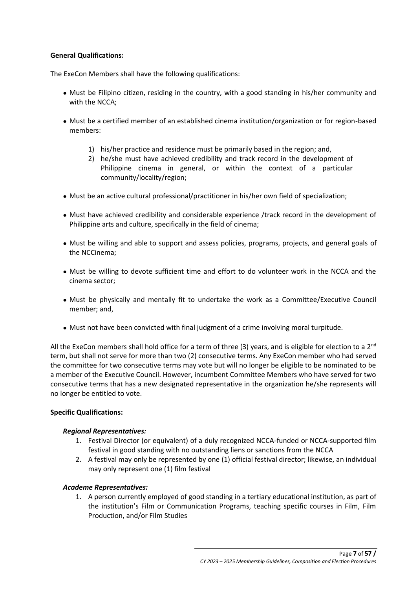## **General Qualifications:**

The ExeCon Members shall have the following qualifications:

- Must be Filipino citizen, residing in the country, with a good standing in his/her community and with the NCCA;
- Must be a certified member of an established cinema institution/organization or for region-based members:
	- 1) his/her practice and residence must be primarily based in the region; and,
	- 2) he/she must have achieved credibility and track record in the development of Philippine cinema in general, or within the context of a particular community/locality/region;
- Must be an active cultural professional/practitioner in his/her own field of specialization;
- Must have achieved credibility and considerable experience /track record in the development of Philippine arts and culture, specifically in the field of cinema;
- Must be willing and able to support and assess policies, programs, projects, and general goals of the NCCinema;
- Must be willing to devote sufficient time and effort to do volunteer work in the NCCA and the cinema sector;
- Must be physically and mentally fit to undertake the work as a Committee/Executive Council member; and,
- Must not have been convicted with final judgment of a crime involving moral turpitude.

All the ExeCon members shall hold office for a term of three (3) years, and is eligible for election to a  $2<sup>nd</sup>$ term, but shall not serve for more than two (2) consecutive terms. Any ExeCon member who had served the committee for two consecutive terms may vote but will no longer be eligible to be nominated to be a member of the Executive Council. However, incumbent Committee Members who have served for two consecutive terms that has a new designated representative in the organization he/she represents will no longer be entitled to vote.

## **Specific Qualifications:**

## *Regional Representatives:*

- 1. Festival Director (or equivalent) of a duly recognized NCCA-funded or NCCA-supported film festival in good standing with no outstanding liens or sanctions from the NCCA
- 2. A festival may only be represented by one (1) official festival director; likewise, an individual may only represent one (1) film festival

## *Academe Representatives:*

1. A person currently employed of good standing in a tertiary educational institution, as part of the institution's Film or Communication Programs, teaching specific courses in Film, Film Production, and/or Film Studies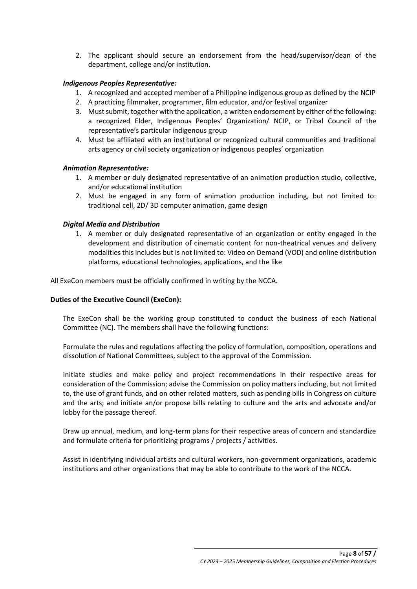2. The applicant should secure an endorsement from the head/supervisor/dean of the department, college and/or institution.

## *Indigenous Peoples Representative:*

- 1. A recognized and accepted member of a Philippine indigenous group as defined by the NCIP
- 2. A practicing filmmaker, programmer, film educator, and/or festival organizer
- 3. Must submit, together with the application, a written endorsement by either of the following: a recognized Elder, Indigenous Peoples' Organization/ NCIP, or Tribal Council of the representative's particular indigenous group
- 4. Must be affiliated with an institutional or recognized cultural communities and traditional arts agency or civil society organization or indigenous peoples' organization

## *Animation Representative:*

- 1. A member or duly designated representative of an animation production studio, collective, and/or educational institution
- 2. Must be engaged in any form of animation production including, but not limited to: traditional cell, 2D/ 3D computer animation, game design

## *Digital Media and Distribution*

1. A member or duly designated representative of an organization or entity engaged in the development and distribution of cinematic content for non-theatrical venues and delivery modalities this includes but is not limited to: Video on Demand (VOD) and online distribution platforms, educational technologies, applications, and the like

All ExeCon members must be officially confirmed in writing by the NCCA.

## **Duties of the Executive Council (ExeCon):**

The ExeCon shall be the working group constituted to conduct the business of each National Committee (NC). The members shall have the following functions:

Formulate the rules and regulations affecting the policy of formulation, composition, operations and dissolution of National Committees, subject to the approval of the Commission.

Initiate studies and make policy and project recommendations in their respective areas for consideration of the Commission; advise the Commission on policy matters including, but not limited to, the use of grant funds, and on other related matters, such as pending bills in Congress on culture and the arts; and initiate an/or propose bills relating to culture and the arts and advocate and/or lobby for the passage thereof.

Draw up annual, medium, and long-term plans for their respective areas of concern and standardize and formulate criteria for prioritizing programs / projects / activities.

Assist in identifying individual artists and cultural workers, non-government organizations, academic institutions and other organizations that may be able to contribute to the work of the NCCA.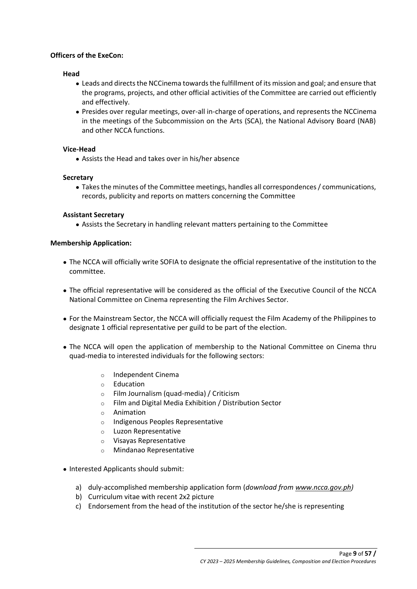## **Officers of the ExeCon:**

#### **Head**

- Leads and directs the NCCinema towards the fulfillment of its mission and goal; and ensure that the programs, projects, and other official activities of the Committee are carried out efficiently and effectively.
- Presides over regular meetings, over-all in-charge of operations, and represents the NCCinema in the meetings of the Subcommission on the Arts (SCA), the National Advisory Board (NAB) and other NCCA functions.

#### **Vice-Head**

● Assists the Head and takes over in his/her absence

## **Secretary**

● Takes the minutes of the Committee meetings, handles all correspondences / communications, records, publicity and reports on matters concerning the Committee

## **Assistant Secretary**

● Assists the Secretary in handling relevant matters pertaining to the Committee

## **Membership Application:**

- The NCCA will officially write SOFIA to designate the official representative of the institution to the committee.
- The official representative will be considered as the official of the Executive Council of the NCCA National Committee on Cinema representing the Film Archives Sector.
- For the Mainstream Sector, the NCCA will officially request the Film Academy of the Philippines to designate 1 official representative per guild to be part of the election.
- The NCCA will open the application of membership to the National Committee on Cinema thru quad-media to interested individuals for the following sectors:
	- o Independent Cinema
	- o Education
	- o Film Journalism (quad-media) / Criticism
	- o Film and Digital Media Exhibition / Distribution Sector
	- o Animation
	- o Indigenous Peoples Representative
	- o Luzon Representative
	- o Visayas Representative
	- o Mindanao Representative
- Interested Applicants should submit:
	- a) duly-accomplished membership application form (*download fro[m www.ncca.gov.ph\)](http://www.ncca.gov.ph/)*
	- b) Curriculum vitae with recent 2x2 picture
	- c) Endorsement from the head of the institution of the sector he/she is representing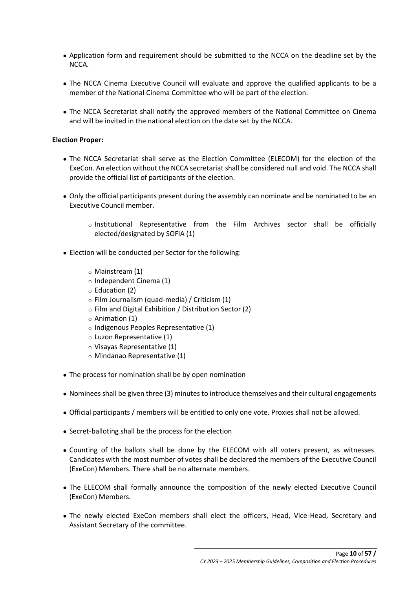- Application form and requirement should be submitted to the NCCA on the deadline set by the NCCA.
- The NCCA Cinema Executive Council will evaluate and approve the qualified applicants to be a member of the National Cinema Committee who will be part of the election.
- The NCCA Secretariat shall notify the approved members of the National Committee on Cinema and will be invited in the national election on the date set by the NCCA.

## **Election Proper:**

- The NCCA Secretariat shall serve as the Election Committee (ELECOM) for the election of the ExeCon. An election without the NCCA secretariat shall be considered null and void. The NCCA shall provide the official list of participants of the election.
- Only the official participants present during the assembly can nominate and be nominated to be an Executive Council member.
	- o Institutional Representative from the Film Archives sector shall be officially elected/designated by SOFIA (1)
- Election will be conducted per Sector for the following:
	- o Mainstream (1)
	- o Independent Cinema (1)
	- o Education (2)
	- o Film Journalism (quad-media) / Criticism (1)
	- o Film and Digital Exhibition / Distribution Sector (2)
	- o Animation (1)
	- o Indigenous Peoples Representative (1)
	- o Luzon Representative (1)
	- o Visayas Representative (1)
	- o Mindanao Representative (1)
- The process for nomination shall be by open nomination
- Nominees shall be given three (3) minutes to introduce themselves and their cultural engagements
- Official participants / members will be entitled to only one vote. Proxies shall not be allowed.
- Secret-balloting shall be the process for the election
- Counting of the ballots shall be done by the ELECOM with all voters present, as witnesses. Candidates with the most number of votes shall be declared the members of the Executive Council (ExeCon) Members. There shall be no alternate members.
- The ELECOM shall formally announce the composition of the newly elected Executive Council (ExeCon) Members.
- The newly elected ExeCon members shall elect the officers, Head, Vice-Head, Secretary and Assistant Secretary of the committee.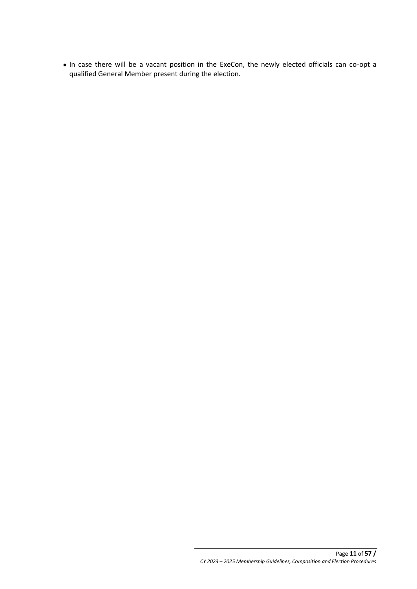● In case there will be a vacant position in the ExeCon, the newly elected officials can co-opt a qualified General Member present during the election.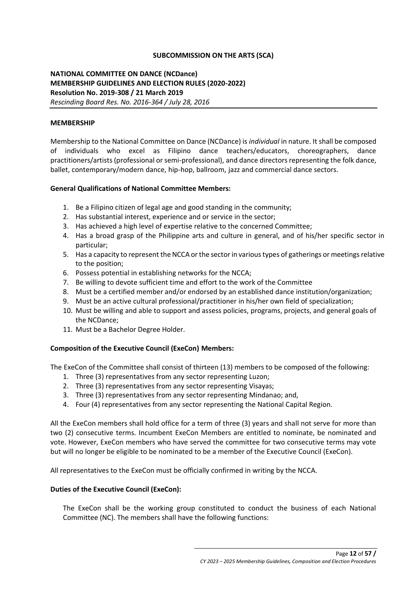## **SUBCOMMISSION ON THE ARTS (SCA)**

# **NATIONAL COMMITTEE ON DANCE (NCDance) MEMBERSHIP GUIDELINES AND ELECTION RULES (2020-2022) Resolution No. 2019-308 / 21 March 2019** *Rescinding Board Res. No. 2016-364 / July 28, 2016*

### **MEMBERSHIP**

Membership to the National Committee on Dance (NCDance) is *individual* in nature. It shall be composed of individuals who excel as Filipino dance teachers/educators, choreographers, dance practitioners/artists (professional or semi-professional), and dance directors representing the folk dance, ballet, contemporary/modern dance, hip-hop, ballroom, jazz and commercial dance sectors.

#### **General Qualifications of National Committee Members:**

- 1. Be a Filipino citizen of legal age and good standing in the community;
- 2. Has substantial interest, experience and or service in the sector;
- 3. Has achieved a high level of expertise relative to the concerned Committee;
- 4. Has a broad grasp of the Philippine arts and culture in general, and of his/her specific sector in particular;
- 5. Has a capacity to represent the NCCA or the sector in various types of gatherings or meetings relative to the position;
- 6. Possess potential in establishing networks for the NCCA;
- 7. Be willing to devote sufficient time and effort to the work of the Committee
- 8. Must be a certified member and/or endorsed by an established dance institution/organization;
- 9. Must be an active cultural professional/practitioner in his/her own field of specialization;
- 10. Must be willing and able to support and assess policies, programs, projects, and general goals of the NCDance;
- 11. Must be a Bachelor Degree Holder.

## **Composition of the Executive Council (ExeCon) Members:**

The ExeCon of the Committee shall consist of thirteen (13) members to be composed of the following:

- 1. Three (3) representatives from any sector representing Luzon;
- 2. Three (3) representatives from any sector representing Visayas;
- 3. Three (3) representatives from any sector representing Mindanao; and,
- 4. Four (4) representatives from any sector representing the National Capital Region.

All the ExeCon members shall hold office for a term of three (3) years and shall not serve for more than two (2) consecutive terms. Incumbent ExeCon Members are entitled to nominate, be nominated and vote. However, ExeCon members who have served the committee for two consecutive terms may vote but will no longer be eligible to be nominated to be a member of the Executive Council (ExeCon).

All representatives to the ExeCon must be officially confirmed in writing by the NCCA.

## **Duties of the Executive Council (ExeCon):**

The ExeCon shall be the working group constituted to conduct the business of each National Committee (NC). The members shall have the following functions: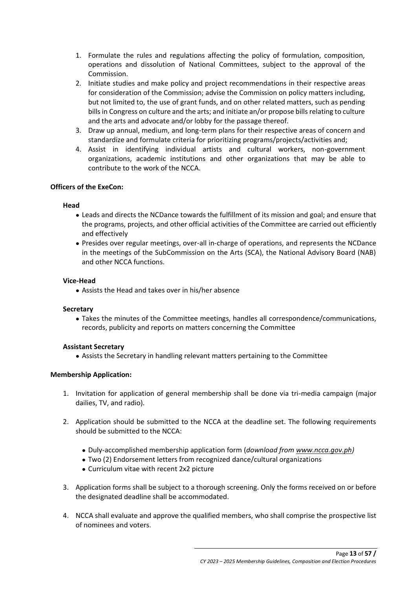- 1. Formulate the rules and regulations affecting the policy of formulation, composition, operations and dissolution of National Committees, subject to the approval of the Commission.
- 2. Initiate studies and make policy and project recommendations in their respective areas for consideration of the Commission; advise the Commission on policy matters including, but not limited to, the use of grant funds, and on other related matters, such as pending bills in Congress on culture and the arts; and initiate an/or propose bills relating to culture and the arts and advocate and/or lobby for the passage thereof.
- 3. Draw up annual, medium, and long-term plans for their respective areas of concern and standardize and formulate criteria for prioritizing programs/projects/activities and;
- 4. Assist in identifying individual artists and cultural workers, non-government organizations, academic institutions and other organizations that may be able to contribute to the work of the NCCA.

# **Officers of the ExeCon:**

## **Head**

- Leads and directs the NCDance towards the fulfillment of its mission and goal; and ensure that the programs, projects, and other official activities of the Committee are carried out efficiently and effectively
- Presides over regular meetings, over-all in-charge of operations, and represents the NCDance in the meetings of the SubCommission on the Arts (SCA), the National Advisory Board (NAB) and other NCCA functions.

## **Vice-Head**

• Assists the Head and takes over in his/her absence

## **Secretary**

● Takes the minutes of the Committee meetings, handles all correspondence/communications, records, publicity and reports on matters concerning the Committee

## **Assistant Secretary**

● Assists the Secretary in handling relevant matters pertaining to the Committee

# **Membership Application:**

- 1. Invitation for application of general membership shall be done via tri-media campaign (major dailies, TV, and radio).
- 2. Application should be submitted to the NCCA at the deadline set. The following requirements should be submitted to the NCCA:
	- Duly-accomplished membership application form (*download fro[m www.ncca.gov.ph\)](http://www.ncca.gov.ph/)*
	- Two (2) Endorsement letters from recognized dance/cultural organizations
	- Curriculum vitae with recent 2x2 picture
- 3. Application forms shall be subject to a thorough screening. Only the forms received on or before the designated deadline shall be accommodated.
- 4. NCCA shall evaluate and approve the qualified members, who shall comprise the prospective list of nominees and voters.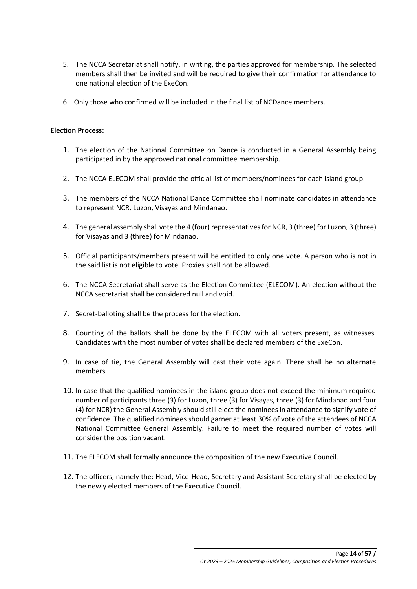- 5. The NCCA Secretariat shall notify, in writing, the parties approved for membership. The selected members shall then be invited and will be required to give their confirmation for attendance to one national election of the ExeCon.
- 6. Only those who confirmed will be included in the final list of NCDance members.

## **Election Process:**

- 1. The election of the National Committee on Dance is conducted in a General Assembly being participated in by the approved national committee membership.
- 2. The NCCA ELECOM shall provide the official list of members/nominees for each island group.
- 3. The members of the NCCA National Dance Committee shall nominate candidates in attendance to represent NCR, Luzon, Visayas and Mindanao.
- 4. The general assembly shall vote the 4 (four) representatives for NCR, 3 (three) for Luzon, 3 (three) for Visayas and 3 (three) for Mindanao.
- 5. Official participants/members present will be entitled to only one vote. A person who is not in the said list is not eligible to vote. Proxies shall not be allowed.
- 6. The NCCA Secretariat shall serve as the Election Committee (ELECOM). An election without the NCCA secretariat shall be considered null and void.
- 7. Secret-balloting shall be the process for the election.
- 8. Counting of the ballots shall be done by the ELECOM with all voters present, as witnesses. Candidates with the most number of votes shall be declared members of the ExeCon.
- 9. In case of tie, the General Assembly will cast their vote again. There shall be no alternate members.
- 10. In case that the qualified nominees in the island group does not exceed the minimum required number of participants three (3) for Luzon, three (3) for Visayas, three (3) for Mindanao and four (4) for NCR) the General Assembly should still elect the nominees in attendance to signify vote of confidence. The qualified nominees should garner at least 30% of vote of the attendees of NCCA National Committee General Assembly. Failure to meet the required number of votes will consider the position vacant.
- 11. The ELECOM shall formally announce the composition of the new Executive Council.
- 12. The officers, namely the: Head, Vice-Head, Secretary and Assistant Secretary shall be elected by the newly elected members of the Executive Council.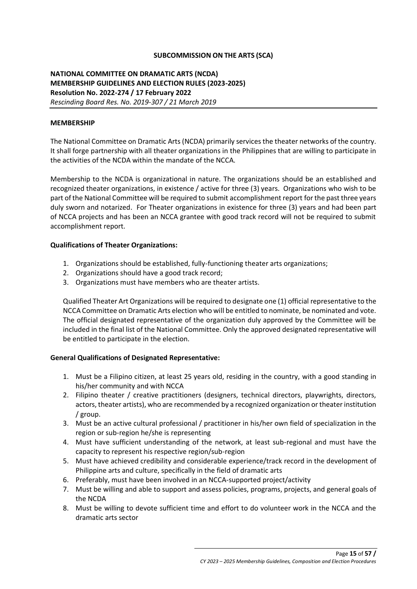## **SUBCOMMISSION ON THE ARTS (SCA)**

# **NATIONAL COMMITTEE ON DRAMATIC ARTS (NCDA) MEMBERSHIP GUIDELINES AND ELECTION RULES (2023-2025) Resolution No. 2022-274 / 17 February 2022** *Rescinding Board Res. No. 2019-307 / 21 March 2019*

### **MEMBERSHIP**

The National Committee on Dramatic Arts (NCDA) primarily services the theater networks of the country. It shall forge partnership with all theater organizations in the Philippines that are willing to participate in the activities of the NCDA within the mandate of the NCCA.

Membership to the NCDA is organizational in nature. The organizations should be an established and recognized theater organizations, in existence / active for three (3) years. Organizations who wish to be part of the National Committee will be required to submit accomplishment report for the past three years duly sworn and notarized. For Theater organizations in existence for three (3) years and had been part of NCCA projects and has been an NCCA grantee with good track record will not be required to submit accomplishment report.

#### **Qualifications of Theater Organizations:**

- 1. Organizations should be established, fully-functioning theater arts organizations;
- 2. Organizations should have a good track record;
- 3. Organizations must have members who are theater artists.

Qualified Theater Art Organizations will be required to designate one (1) official representative to the NCCA Committee on Dramatic Arts election who will be entitled to nominate, be nominated and vote. The official designated representative of the organization duly approved by the Committee will be included in the final list of the National Committee. Only the approved designated representative will be entitled to participate in the election.

## **General Qualifications of Designated Representative:**

- 1. Must be a Filipino citizen, at least 25 years old, residing in the country, with a good standing in his/her community and with NCCA
- 2. Filipino theater / creative practitioners (designers, technical directors, playwrights, directors, actors, theater artists), who are recommended by a recognized organization or theater institution / group.
- 3. Must be an active cultural professional / practitioner in his/her own field of specialization in the region or sub-region he/she is representing
- 4. Must have sufficient understanding of the network, at least sub-regional and must have the capacity to represent his respective region/sub-region
- 5. Must have achieved credibility and considerable experience/track record in the development of Philippine arts and culture, specifically in the field of dramatic arts
- 6. Preferably, must have been involved in an NCCA-supported project/activity
- 7. Must be willing and able to support and assess policies, programs, projects, and general goals of the NCDA
- 8. Must be willing to devote sufficient time and effort to do volunteer work in the NCCA and the dramatic arts sector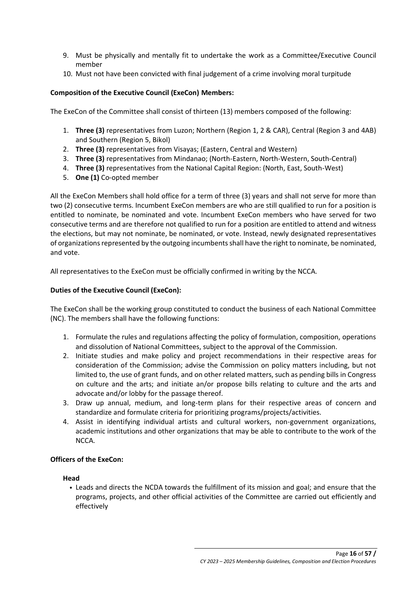- 9. Must be physically and mentally fit to undertake the work as a Committee/Executive Council member
- 10. Must not have been convicted with final judgement of a crime involving moral turpitude

## **Composition of the Executive Council (ExeCon) Members:**

The ExeCon of the Committee shall consist of thirteen (13) members composed of the following:

- 1. **Three (3)** representatives from Luzon; Northern (Region 1, 2 & CAR), Central (Region 3 and 4AB) and Southern (Region 5, Bikol)
- 2. **Three (3)** representatives from Visayas; (Eastern, Central and Western)
- 3. **Three (3)** representatives from Mindanao; (North-Eastern, North-Western, South-Central)
- 4. **Three (3)** representatives from the National Capital Region: (North, East, South-West)
- 5. **One (1)** Co-opted member

All the ExeCon Members shall hold office for a term of three (3) years and shall not serve for more than two (2) consecutive terms. Incumbent ExeCon members are who are still qualified to run for a position is entitled to nominate, be nominated and vote. Incumbent ExeCon members who have served for two consecutive terms and are therefore not qualified to run for a position are entitled to attend and witness the elections, but may not nominate, be nominated, or vote. Instead, newly designated representatives of organizations represented by the outgoing incumbents shall have the right to nominate, be nominated, and vote.

All representatives to the ExeCon must be officially confirmed in writing by the NCCA.

## **Duties of the Executive Council (ExeCon):**

The ExeCon shall be the working group constituted to conduct the business of each National Committee (NC). The members shall have the following functions:

- 1. Formulate the rules and regulations affecting the policy of formulation, composition, operations and dissolution of National Committees, subject to the approval of the Commission.
- 2. Initiate studies and make policy and project recommendations in their respective areas for consideration of the Commission; advise the Commission on policy matters including, but not limited to, the use of grant funds, and on other related matters, such as pending bills in Congress on culture and the arts; and initiate an/or propose bills relating to culture and the arts and advocate and/or lobby for the passage thereof.
- 3. Draw up annual, medium, and long-term plans for their respective areas of concern and standardize and formulate criteria for prioritizing programs/projects/activities.
- 4. Assist in identifying individual artists and cultural workers, non-government organizations, academic institutions and other organizations that may be able to contribute to the work of the NCCA.

## **Officers of the ExeCon:**

## **Head**

• Leads and directs the NCDA towards the fulfillment of its mission and goal; and ensure that the programs, projects, and other official activities of the Committee are carried out efficiently and effectively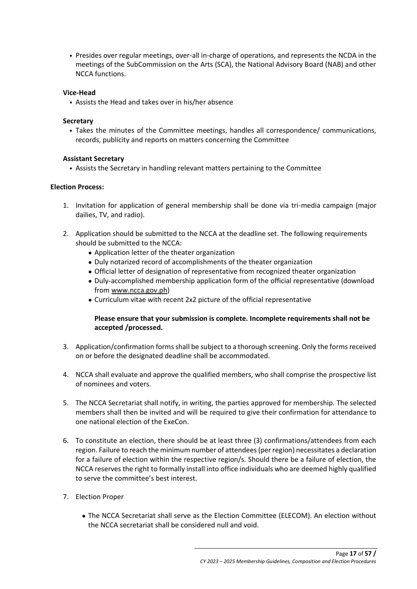• Presides over regular meetings, over-all in-charge of operations, and represents the NCDA in the meetings of the SubCommission on the Arts (SCA), the National Advisory Board (NAB) and other NCCA functions.

## **Vice-Head**

• Assists the Head and takes over in his/her absence

## **Secretary**

• Takes the minutes of the Committee meetings, handles all correspondence/ communications, records, publicity and reports on matters concerning the Committee

## **Assistant Secretary**

• Assists the Secretary in handling relevant matters pertaining to the Committee

## **Election Process:**

- 1. Invitation for application of general membership shall be done via tri-media campaign (major dailies, TV, and radio).
- 2. Application should be submitted to the NCCA at the deadline set. The following requirements should be submitted to the NCCA:
	- Application letter of the theater organization
	- Duly notarized record of accomplishments of the theater organization
	- Official letter of designation of representative from recognized theater organization
	- Duly-accomplished membership application form of the official representative (download from [www.ncca.gov.ph\)](http://www.ncca.gov.ph/)
	- Curriculum vitae with recent 2x2 picture of the official representative

# **Please ensure that your submission is complete. Incomplete requirements shall not be accepted /processed.**

- 3. Application/confirmation forms shall be subject to a thorough screening. Only the forms received on or before the designated deadline shall be accommodated.
- 4. NCCA shall evaluate and approve the qualified members, who shall comprise the prospective list of nominees and voters.
- 5. The NCCA Secretariat shall notify, in writing, the parties approved for membership. The selected members shall then be invited and will be required to give their confirmation for attendance to one national election of the ExeCon.
- 6. To constitute an election, there should be at least three (3) confirmations/attendees from each region. Failure to reach the minimum number of attendees (per region) necessitates a declaration for a failure of election within the respective region/s. Should there be a failure of election, the NCCA reserves the right to formally install into office individuals who are deemed highly qualified to serve the committee's best interest.
- 7. Election Proper
	- The NCCA Secretariat shall serve as the Election Committee (ELECOM). An election without the NCCA secretariat shall be considered null and void.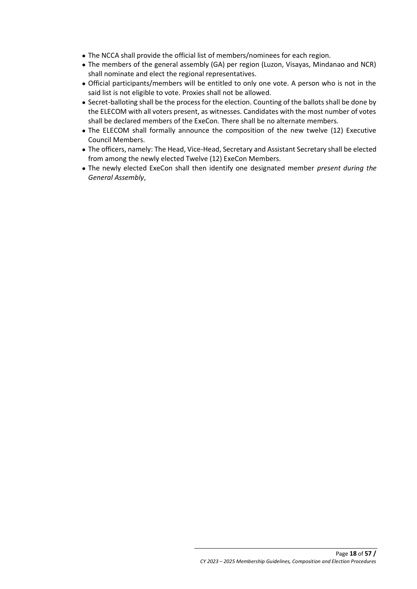- The NCCA shall provide the official list of members/nominees for each region.
- The members of the general assembly (GA) per region (Luzon, Visayas, Mindanao and NCR) shall nominate and elect the regional representatives.
- Official participants/members will be entitled to only one vote. A person who is not in the said list is not eligible to vote. Proxies shall not be allowed.
- Secret-balloting shall be the process for the election. Counting of the ballots shall be done by the ELECOM with all voters present, as witnesses. Candidates with the most number of votes shall be declared members of the ExeCon. There shall be no alternate members.
- The ELECOM shall formally announce the composition of the new twelve (12) Executive Council Members.
- The officers, namely: The Head, Vice-Head, Secretary and Assistant Secretary shall be elected from among the newly elected Twelve (12) ExeCon Members.
- The newly elected ExeCon shall then identify one designated member *present during the General Assembly*,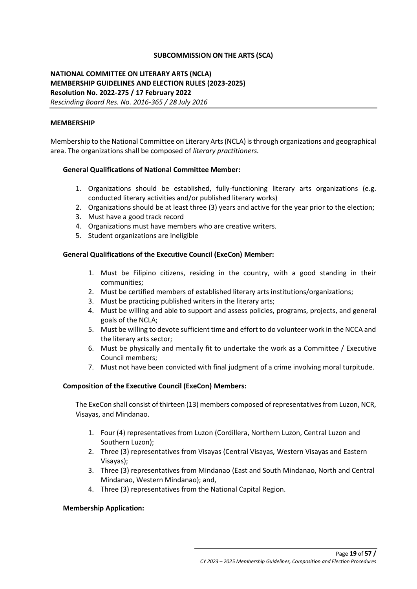## **SUBCOMMISSION ON THE ARTS (SCA)**

# **NATIONAL COMMITTEE ON LITERARY ARTS (NCLA) MEMBERSHIP GUIDELINES AND ELECTION RULES (2023-2025) Resolution No. 2022-275 / 17 February 2022** *Rescinding Board Res. No. 2016-365 / 28 July 2016*

#### **MEMBERSHIP**

Membership to the National Committee on Literary Arts (NCLA) is through organizations and geographical area. The organizations shall be composed of *literary practitioners.*

#### **General Qualifications of National Committee Member:**

- 1. Organizations should be established, fully-functioning literary arts organizations (e.g. conducted literary activities and/or published literary works)
- 2. Organizations should be at least three (3) years and active for the year prior to the election;
- 3. Must have a good track record
- 4. Organizations must have members who are creative writers.
- 5. Student organizations are ineligible

## **General Qualifications of the Executive Council (ExeCon) Member:**

- 1. Must be Filipino citizens, residing in the country, with a good standing in their communities;
- 2. Must be certified members of established literary arts institutions/organizations;
- 3. Must be practicing published writers in the literary arts;
- 4. Must be willing and able to support and assess policies, programs, projects, and general goals of the NCLA;
- 5. Must be willing to devote sufficient time and effort to do volunteer work in the NCCA and the literary arts sector;
- 6. Must be physically and mentally fit to undertake the work as a Committee / Executive Council members;
- 7. Must not have been convicted with final judgment of a crime involving moral turpitude.

## **Composition of the Executive Council (ExeCon) Members:**

The ExeCon shall consist of thirteen (13) members composed of representatives from Luzon, NCR, Visayas, and Mindanao.

- 1. Four (4) representatives from Luzon (Cordillera, Northern Luzon, Central Luzon and Southern Luzon);
- 2. Three (3) representatives from Visayas (Central Visayas, Western Visayas and Eastern Visayas);
- 3. Three (3) representatives from Mindanao (East and South Mindanao, North and Central Mindanao, Western Mindanao); and,
- 4. Three (3) representatives from the National Capital Region.

#### **Membership Application:**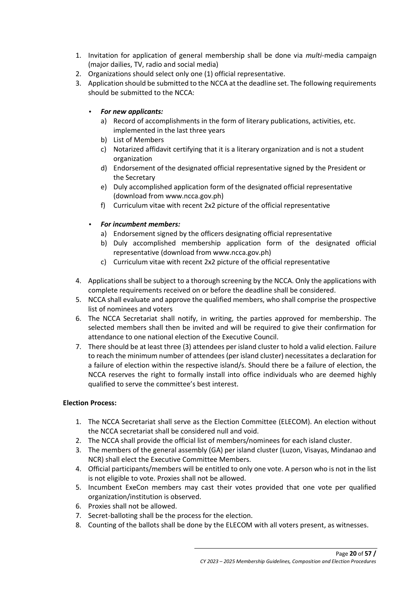- 1. Invitation for application of general membership shall be done via *multi*-media campaign (major dailies, TV, radio and social media)
- 2. Organizations should select only one (1) official representative.
- 3. Application should be submitted to the NCCA at the deadline set. The following requirements should be submitted to the NCCA:
	- *For new applicants:*
		- a) Record of accomplishments in the form of literary publications, activities, etc. implemented in the last three years
		- b) List of Members
		- c) Notarized affidavit certifying that it is a literary organization and is not a student organization
		- d) Endorsement of the designated official representative signed by the President or the Secretary
		- e) Duly accomplished application form of the designated official representative (download from www.ncca.gov.ph)
		- f) Curriculum vitae with recent 2x2 picture of the official representative
	- *For incumbent members:*
		- a) Endorsement signed by the officers designating official representative
		- b) Duly accomplished membership application form of the designated official representative (download from www.ncca.gov.ph)
		- c) Curriculum vitae with recent 2x2 picture of the official representative
- 4. Applications shall be subject to a thorough screening by the NCCA. Only the applications with complete requirements received on or before the deadline shall be considered.
- 5. NCCA shall evaluate and approve the qualified members, who shall comprise the prospective list of nominees and voters
- 6. The NCCA Secretariat shall notify, in writing, the parties approved for membership. The selected members shall then be invited and will be required to give their confirmation for attendance to one national election of the Executive Council.
- 7. There should be at least three (3) attendees per island cluster to hold a valid election. Failure to reach the minimum number of attendees (per island cluster) necessitates a declaration for a failure of election within the respective island/s. Should there be a failure of election, the NCCA reserves the right to formally install into office individuals who are deemed highly qualified to serve the committee's best interest.

# **Election Process:**

- 1. The NCCA Secretariat shall serve as the Election Committee (ELECOM). An election without the NCCA secretariat shall be considered null and void.
- 2. The NCCA shall provide the official list of members/nominees for each island cluster.
- 3. The members of the general assembly (GA) per island cluster (Luzon, Visayas, Mindanao and NCR) shall elect the Executive Committee Members.
- 4. Official participants/members will be entitled to only one vote. A person who is not in the list is not eligible to vote. Proxies shall not be allowed.
- 5. Incumbent ExeCon members may cast their votes provided that one vote per qualified organization/institution is observed.
- 6. Proxies shall not be allowed.
- 7. Secret-balloting shall be the process for the election.
- 8. Counting of the ballots shall be done by the ELECOM with all voters present, as witnesses.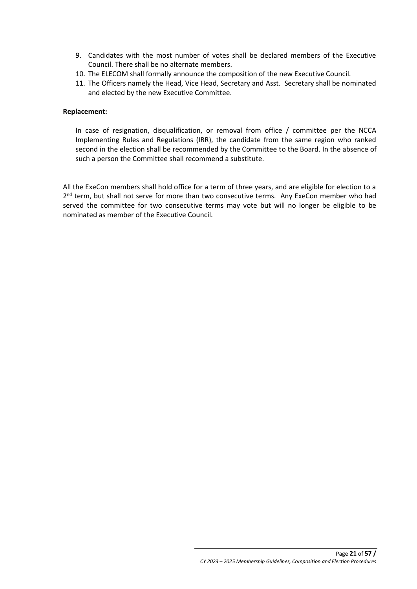- 9. Candidates with the most number of votes shall be declared members of the Executive Council. There shall be no alternate members.
- 10. The ELECOM shall formally announce the composition of the new Executive Council.
- 11. The Officers namely the Head, Vice Head, Secretary and Asst. Secretary shall be nominated and elected by the new Executive Committee.

### **Replacement:**

In case of resignation, disqualification, or removal from office / committee per the NCCA Implementing Rules and Regulations (IRR), the candidate from the same region who ranked second in the election shall be recommended by the Committee to the Board. In the absence of such a person the Committee shall recommend a substitute.

All the ExeCon members shall hold office for a term of three years, and are eligible for election to a 2<sup>nd</sup> term, but shall not serve for more than two consecutive terms. Any ExeCon member who had served the committee for two consecutive terms may vote but will no longer be eligible to be nominated as member of the Executive Council.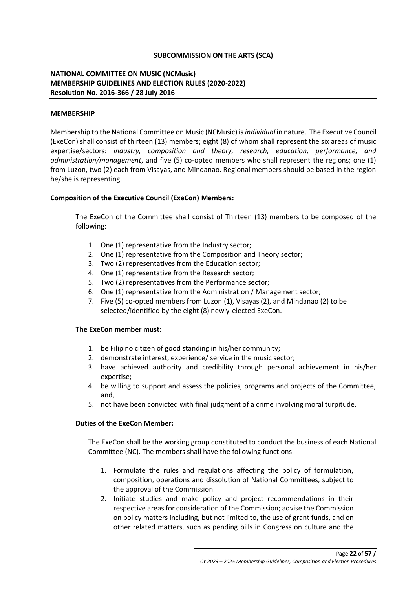## **SUBCOMMISSION ON THE ARTS (SCA)**

# **NATIONAL COMMITTEE ON MUSIC (NCMusic) MEMBERSHIP GUIDELINES AND ELECTION RULES (2020-2022) Resolution No. 2016-366 / 28 July 2016**

#### **MEMBERSHIP**

Membership to the National Committee on Music (NCMusic) is *individual* in nature. The Executive Council (ExeCon) shall consist of thirteen (13) members; eight (8) of whom shall represent the six areas of music expertise/sectors: *industry, composition and theory, research, education, performance, and administration/management*, and five (5) co-opted members who shall represent the regions; one (1) from Luzon, two (2) each from Visayas, and Mindanao. Regional members should be based in the region he/she is representing.

## **Composition of the Executive Council (ExeCon) Members:**

The ExeCon of the Committee shall consist of Thirteen (13) members to be composed of the following:

- 1. One (1) representative from the Industry sector;
- 2. One (1) representative from the Composition and Theory sector;
- 3. Two (2) representatives from the Education sector;
- 4. One (1) representative from the Research sector;
- 5. Two (2) representatives from the Performance sector;
- 6. One (1) representative from the Administration / Management sector;
- 7. Five (5) co-opted members from Luzon (1), Visayas (2), and Mindanao (2) to be selected/identified by the eight (8) newly-elected ExeCon.

## **The ExeCon member must:**

- 1. be Filipino citizen of good standing in his/her community;
- 2. demonstrate interest, experience/ service in the music sector;
- 3. have achieved authority and credibility through personal achievement in his/her expertise;
- 4. be willing to support and assess the policies, programs and projects of the Committee; and,
- 5. not have been convicted with final judgment of a crime involving moral turpitude.

## **Duties of the ExeCon Member:**

The ExeCon shall be the working group constituted to conduct the business of each National Committee (NC). The members shall have the following functions:

- 1. Formulate the rules and regulations affecting the policy of formulation, composition, operations and dissolution of National Committees, subject to the approval of the Commission.
- 2. Initiate studies and make policy and project recommendations in their respective areas for consideration of the Commission; advise the Commission on policy matters including, but not limited to, the use of grant funds, and on other related matters, such as pending bills in Congress on culture and the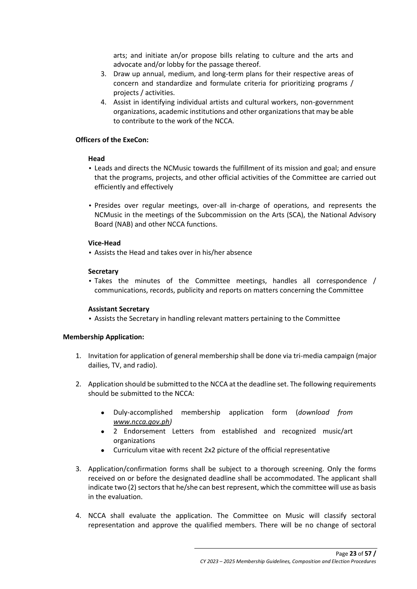arts; and initiate an/or propose bills relating to culture and the arts and advocate and/or lobby for the passage thereof.

- 3. Draw up annual, medium, and long-term plans for their respective areas of concern and standardize and formulate criteria for prioritizing programs / projects / activities.
- 4. Assist in identifying individual artists and cultural workers, non-government organizations, academic institutions and other organizations that may be able to contribute to the work of the NCCA.

## **Officers of the ExeCon:**

## **Head**

- Leads and directs the NCMusic towards the fulfillment of its mission and goal; and ensure that the programs, projects, and other official activities of the Committee are carried out efficiently and effectively
- Presides over regular meetings, over-all in-charge of operations, and represents the NCMusic in the meetings of the Subcommission on the Arts (SCA), the National Advisory Board (NAB) and other NCCA functions.

## **Vice-Head**

• Assists the Head and takes over in his/her absence

## **Secretary**

• Takes the minutes of the Committee meetings, handles all correspondence / communications, records, publicity and reports on matters concerning the Committee

## **Assistant Secretary**

• Assists the Secretary in handling relevant matters pertaining to the Committee

## **Membership Application:**

- 1. Invitation for application of general membership shall be done via tri-media campaign (major dailies, TV, and radio).
- 2. Application should be submitted to the NCCA at the deadline set. The following requirements should be submitted to the NCCA:
	- Duly-accomplished membership application form (*download from [www.ncca.gov.ph\)](http://www.ncca.gov.ph/)*
	- 2 Endorsement Letters from established and recognized music/art organizations
	- Curriculum vitae with recent 2x2 picture of the official representative
- 3. Application/confirmation forms shall be subject to a thorough screening. Only the forms received on or before the designated deadline shall be accommodated. The applicant shall indicate two (2) sectors that he/she can best represent, which the committee will use as basis in the evaluation.
- 4. NCCA shall evaluate the application. The Committee on Music will classify sectoral representation and approve the qualified members. There will be no change of sectoral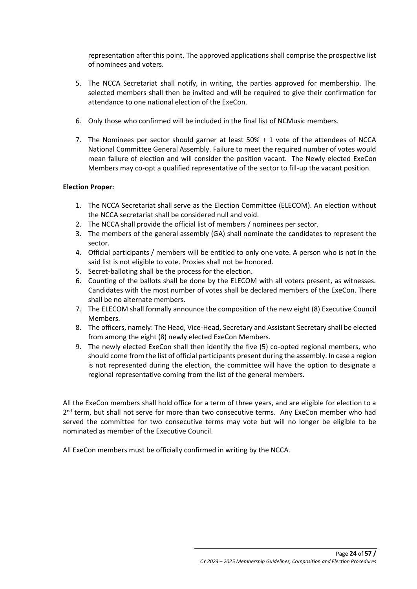representation after this point. The approved applications shall comprise the prospective list of nominees and voters.

- 5. The NCCA Secretariat shall notify, in writing, the parties approved for membership. The selected members shall then be invited and will be required to give their confirmation for attendance to one national election of the ExeCon.
- 6. Only those who confirmed will be included in the final list of NCMusic members.
- 7. The Nominees per sector should garner at least 50% + 1 vote of the attendees of NCCA National Committee General Assembly. Failure to meet the required number of votes would mean failure of election and will consider the position vacant. The Newly elected ExeCon Members may co-opt a qualified representative of the sector to fill-up the vacant position.

# **Election Proper:**

- 1. The NCCA Secretariat shall serve as the Election Committee (ELECOM). An election without the NCCA secretariat shall be considered null and void.
- 2. The NCCA shall provide the official list of members / nominees per sector.
- 3. The members of the general assembly (GA) shall nominate the candidates to represent the sector.
- 4. Official participants / members will be entitled to only one vote. A person who is not in the said list is not eligible to vote. Proxies shall not be honored.
- 5. Secret-balloting shall be the process for the election.
- 6. Counting of the ballots shall be done by the ELECOM with all voters present, as witnesses. Candidates with the most number of votes shall be declared members of the ExeCon. There shall be no alternate members.
- 7. The ELECOM shall formally announce the composition of the new eight (8) Executive Council Members.
- 8. The officers, namely: The Head, Vice-Head, Secretary and Assistant Secretary shall be elected from among the eight (8) newly elected ExeCon Members.
- 9. The newly elected ExeCon shall then identify the five (5) co-opted regional members, who should come from the list of official participants present during the assembly. In case a region is not represented during the election, the committee will have the option to designate a regional representative coming from the list of the general members.

All the ExeCon members shall hold office for a term of three years, and are eligible for election to a 2<sup>nd</sup> term, but shall not serve for more than two consecutive terms. Any ExeCon member who had served the committee for two consecutive terms may vote but will no longer be eligible to be nominated as member of the Executive Council.

All ExeCon members must be officially confirmed in writing by the NCCA.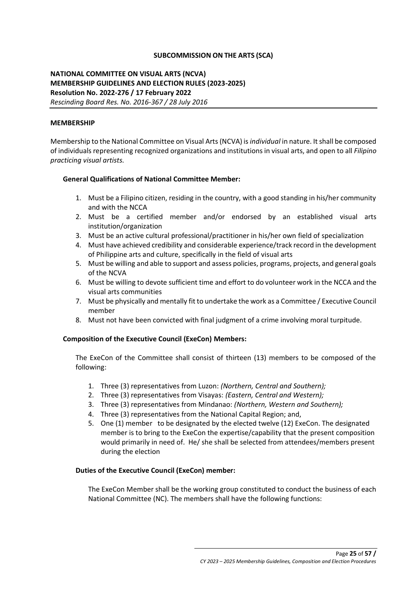## **SUBCOMMISSION ON THE ARTS (SCA)**

# **NATIONAL COMMITTEE ON VISUAL ARTS (NCVA) MEMBERSHIP GUIDELINES AND ELECTION RULES (2023-2025) Resolution No. 2022-276 / 17 February 2022** *Rescinding Board Res. No. 2016-367 / 28 July 2016*

### **MEMBERSHIP**

Membership to the National Committee on Visual Arts (NCVA) is *individual* in nature. It shall be composed of individuals representing recognized organizations and institutions in visual arts, and open to all *Filipino practicing visual artists.*

#### **General Qualifications of National Committee Member:**

- 1. Must be a Filipino citizen, residing in the country, with a good standing in his/her community and with the NCCA
- 2. Must be a certified member and/or endorsed by an established visual arts institution/organization
- 3. Must be an active cultural professional/practitioner in his/her own field of specialization
- 4. Must have achieved credibility and considerable experience/track record in the development of Philippine arts and culture, specifically in the field of visual arts
- 5. Must be willing and able to support and assess policies, programs, projects, and general goals of the NCVA
- 6. Must be willing to devote sufficient time and effort to do volunteer work in the NCCA and the visual arts communities
- 7. Must be physically and mentally fit to undertake the work as a Committee / Executive Council member
- 8. Must not have been convicted with final judgment of a crime involving moral turpitude.

## **Composition of the Executive Council (ExeCon) Members:**

The ExeCon of the Committee shall consist of thirteen (13) members to be composed of the following:

- 1. Three (3) representatives from Luzon: *(Northern, Central and Southern);*
- 2. Three (3) representatives from Visayas: *(Eastern, Central and Western);*
- 3. Three (3) representatives from Mindanao: *(Northern, Western and Southern);*
- 4. Three (3) representatives from the National Capital Region; and,
- 5. One (1) member to be designated by the elected twelve (12) ExeCon. The designated member is to bring to the ExeCon the expertise/capability that the present composition would primarily in need of. He/ she shall be selected from attendees/members present during the election

## **Duties of the Executive Council (ExeCon) member:**

The ExeCon Member shall be the working group constituted to conduct the business of each National Committee (NC). The members shall have the following functions: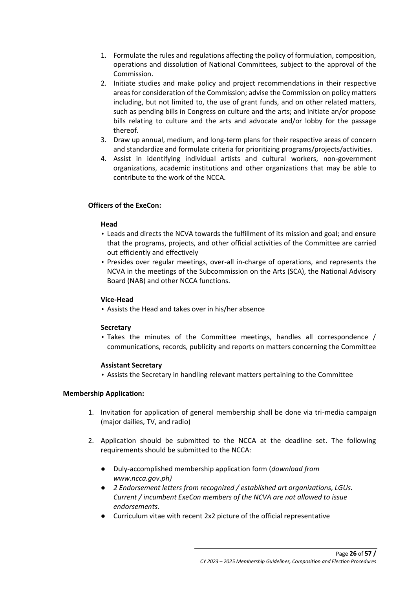- 1. Formulate the rules and regulations affecting the policy of formulation, composition, operations and dissolution of National Committees, subject to the approval of the Commission.
- 2. Initiate studies and make policy and project recommendations in their respective areas for consideration of the Commission; advise the Commission on policy matters including, but not limited to, the use of grant funds, and on other related matters, such as pending bills in Congress on culture and the arts; and initiate an/or propose bills relating to culture and the arts and advocate and/or lobby for the passage thereof.
- 3. Draw up annual, medium, and long-term plans for their respective areas of concern and standardize and formulate criteria for prioritizing programs/projects/activities.
- 4. Assist in identifying individual artists and cultural workers, non-government organizations, academic institutions and other organizations that may be able to contribute to the work of the NCCA.

# **Officers of the ExeCon:**

## **Head**

- Leads and directs the NCVA towards the fulfillment of its mission and goal; and ensure that the programs, projects, and other official activities of the Committee are carried out efficiently and effectively
- Presides over regular meetings, over-all in-charge of operations, and represents the NCVA in the meetings of the Subcommission on the Arts (SCA), the National Advisory Board (NAB) and other NCCA functions.

## **Vice-Head**

• Assists the Head and takes over in his/her absence

## **Secretary**

• Takes the minutes of the Committee meetings, handles all correspondence / communications, records, publicity and reports on matters concerning the Committee

## **Assistant Secretary**

• Assists the Secretary in handling relevant matters pertaining to the Committee

## **Membership Application:**

- 1. Invitation for application of general membership shall be done via tri-media campaign (major dailies, TV, and radio)
- 2. Application should be submitted to the NCCA at the deadline set. The following requirements should be submitted to the NCCA:
	- Duly-accomplished membership application form (*download from [www.ncca.gov.ph\)](http://www.ncca.gov.ph/)*
	- *2 Endorsement letters from recognized / established art organizations, LGUs. Current / incumbent ExeCon members of the NCVA are not allowed to issue endorsements.*
	- Curriculum vitae with recent 2x2 picture of the official representative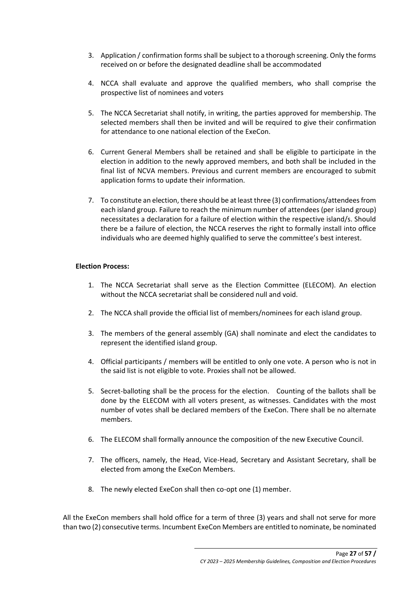- 3. Application / confirmation forms shall be subject to a thorough screening. Only the forms received on or before the designated deadline shall be accommodated
- 4. NCCA shall evaluate and approve the qualified members, who shall comprise the prospective list of nominees and voters
- 5. The NCCA Secretariat shall notify, in writing, the parties approved for membership. The selected members shall then be invited and will be required to give their confirmation for attendance to one national election of the ExeCon.
- 6. Current General Members shall be retained and shall be eligible to participate in the election in addition to the newly approved members, and both shall be included in the final list of NCVA members. Previous and current members are encouraged to submit application forms to update their information.
- 7. To constitute an election, there should be at least three (3) confirmations/attendees from each island group. Failure to reach the minimum number of attendees (per island group) necessitates a declaration for a failure of election within the respective island/s. Should there be a failure of election, the NCCA reserves the right to formally install into office individuals who are deemed highly qualified to serve the committee's best interest.

## **Election Process:**

- 1. The NCCA Secretariat shall serve as the Election Committee (ELECOM). An election without the NCCA secretariat shall be considered null and void.
- 2. The NCCA shall provide the official list of members/nominees for each island group.
- 3. The members of the general assembly (GA) shall nominate and elect the candidates to represent the identified island group.
- 4. Official participants / members will be entitled to only one vote. A person who is not in the said list is not eligible to vote. Proxies shall not be allowed.
- 5. Secret-balloting shall be the process for the election. Counting of the ballots shall be done by the ELECOM with all voters present, as witnesses. Candidates with the most number of votes shall be declared members of the ExeCon. There shall be no alternate members.
- 6. The ELECOM shall formally announce the composition of the new Executive Council.
- 7. The officers, namely, the Head, Vice-Head, Secretary and Assistant Secretary, shall be elected from among the ExeCon Members.
- 8. The newly elected ExeCon shall then co-opt one (1) member.

All the ExeCon members shall hold office for a term of three (3) years and shall not serve for more than two (2) consecutive terms. Incumbent ExeCon Members are entitled to nominate, be nominated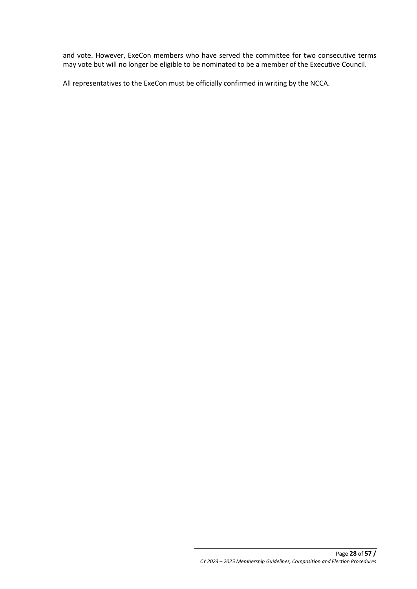and vote. However, ExeCon members who have served the committee for two consecutive terms may vote but will no longer be eligible to be nominated to be a member of the Executive Council.

All representatives to the ExeCon must be officially confirmed in writing by the NCCA.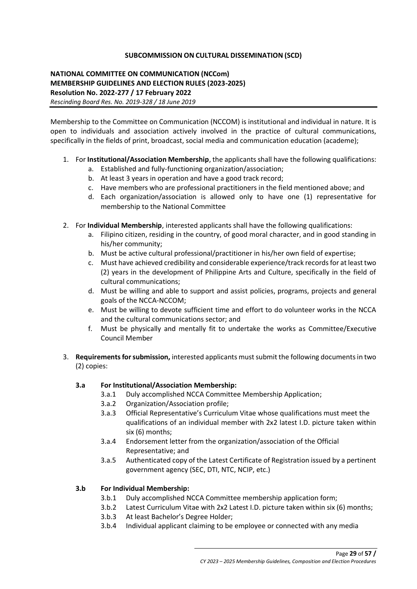## **SUBCOMMISSION ON CULTURAL DISSEMINATION (SCD)**

# **NATIONAL COMMITTEE ON COMMUNICATION (NCCom) MEMBERSHIP GUIDELINES AND ELECTION RULES (2023-2025) Resolution No. 2022-277 / 17 February 2022** *Rescinding Board Res. No. 2019-328 / 18 June 2019*

Membership to the Committee on Communication (NCCOM) is institutional and individual in nature. It is open to individuals and association actively involved in the practice of cultural communications, specifically in the fields of print, broadcast, social media and communication education (academe);

- 1. For **Institutional/Association Membership**, the applicants shall have the following qualifications:
	- a. Established and fully-functioning organization/association;
	- b. At least 3 years in operation and have a good track record;
	- c. Have members who are professional practitioners in the field mentioned above; and
	- d. Each organization/association is allowed only to have one (1) representative for membership to the National Committee
- 2. For **Individual Membership**, interested applicants shall have the following qualifications:
	- a. Filipino citizen, residing in the country, of good moral character, and in good standing in his/her community;
	- b. Must be active cultural professional/practitioner in his/her own field of expertise;
	- c. Must have achieved credibility and considerable experience/track records for at least two (2) years in the development of Philippine Arts and Culture, specifically in the field of cultural communications;
	- d. Must be willing and able to support and assist policies, programs, projects and general goals of the NCCA-NCCOM;
	- e. Must be willing to devote sufficient time and effort to do volunteer works in the NCCA and the cultural communications sector; and
	- f. Must be physically and mentally fit to undertake the works as Committee/Executive Council Member
- 3. **Requirements for submission,** interested applicants must submit the following documents in two (2) copies:

# **3.a For Institutional/Association Membership:**

- 3.a.1 Duly accomplished NCCA Committee Membership Application;
- 3.a.2 Organization/Association profile;
- 3.a.3 Official Representative's Curriculum Vitae whose qualifications must meet the qualifications of an individual member with 2x2 latest I.D. picture taken within six (6) months;
- 3.a.4 Endorsement letter from the organization/association of the Official Representative; and
- 3.a.5 Authenticated copy of the Latest Certificate of Registration issued by a pertinent government agency (SEC, DTI, NTC, NCIP, etc.)

# **3.b For Individual Membership:**

- 3.b.1 Duly accomplished NCCA Committee membership application form;
- 3.b.2 Latest Curriculum Vitae with 2x2 Latest I.D. picture taken within six (6) months;
- 3.b.3 At least Bachelor's Degree Holder;
- 3.b.4 Individual applicant claiming to be employee or connected with any media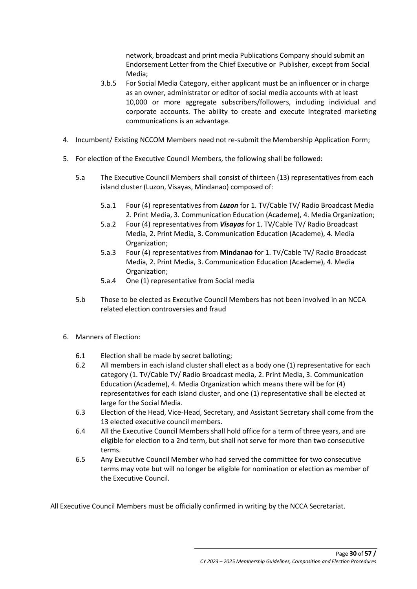network, broadcast and print media Publications Company should submit an Endorsement Letter from the Chief Executive or Publisher, except from Social Media;

- 3.b.5 For Social Media Category, either applicant must be an influencer or in charge as an owner, administrator or editor of social media accounts with at least 10,000 or more aggregate subscribers/followers, including individual and corporate accounts. The ability to create and execute integrated marketing communications is an advantage.
- 4. Incumbent/ Existing NCCOM Members need not re-submit the Membership Application Form;
- 5. For election of the Executive Council Members, the following shall be followed:
	- 5.a The Executive Council Members shall consist of thirteen (13) representatives from each island cluster (Luzon, Visayas, Mindanao) composed of:
		- 5.a.1 Four (4) representatives from *Luzon* for 1. TV/Cable TV/ Radio Broadcast Media 2. Print Media, 3. Communication Education (Academe), 4. Media Organization;
		- 5.a.2 Four (4) representatives from *Visayas* for 1. TV/Cable TV/ Radio Broadcast Media, 2. Print Media, 3. Communication Education (Academe), 4. Media Organization;
		- 5.a.3 Four (4) representatives from **Mindanao** for 1. TV/Cable TV/ Radio Broadcast Media, 2. Print Media, 3. Communication Education (Academe), 4. Media Organization;
		- 5.a.4 One (1) representative from Social media
	- 5.b Those to be elected as Executive Council Members has not been involved in an NCCA related election controversies and fraud
- 6. Manners of Election:
	- 6.1 Election shall be made by secret balloting;
	- 6.2 All members in each island cluster shall elect as a body one (1) representative for each category (1. TV/Cable TV/ Radio Broadcast media, 2. Print Media, 3. Communication Education (Academe), 4. Media Organization which means there will be for (4) representatives for each island cluster, and one (1) representative shall be elected at large for the Social Media.
	- 6.3 Election of the Head, Vice-Head, Secretary, and Assistant Secretary shall come from the 13 elected executive council members.
	- 6.4 All the Executive Council Members shall hold office for a term of three years, and are eligible for election to a 2nd term, but shall not serve for more than two consecutive terms.
	- 6.5 Any Executive Council Member who had served the committee for two consecutive terms may vote but will no longer be eligible for nomination or election as member of the Executive Council.

All Executive Council Members must be officially confirmed in writing by the NCCA Secretariat.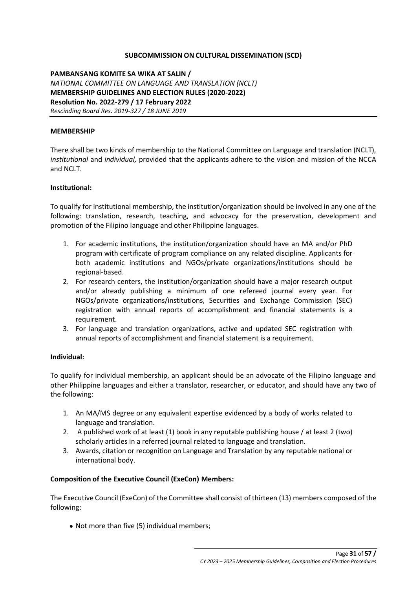## **SUBCOMMISSION ON CULTURAL DISSEMINATION (SCD)**

**PAMBANSANG KOMITE SA WIKA AT SALIN /**  *NATIONAL COMMITTEE ON LANGUAGE AND TRANSLATION (NCLT)* **MEMBERSHIP GUIDELINES AND ELECTION RULES (2020-2022) Resolution No. 2022-279 / 17 February 2022**  *Rescinding Board Res. 2019-327 / 18 JUNE 2019* 

#### **MEMBERSHIP**

There shall be two kinds of membership to the National Committee on Language and translation (NCLT), *institutional* and *individual,* provided that the applicants adhere to the vision and mission of the NCCA and NCLT.

#### **Institutional:**

To qualify for institutional membership, the institution/organization should be involved in any one of the following: translation, research, teaching, and advocacy for the preservation, development and promotion of the Filipino language and other Philippine languages.

- 1. For academic institutions, the institution/organization should have an MA and/or PhD program with certificate of program compliance on any related discipline. Applicants for both academic institutions and NGOs/private organizations/institutions should be regional-based.
- 2. For research centers, the institution/organization should have a major research output and/or already publishing a minimum of one refereed journal every year. For NGOs/private organizations/institutions, Securities and Exchange Commission (SEC) registration with annual reports of accomplishment and financial statements is a requirement.
- 3. For language and translation organizations, active and updated SEC registration with annual reports of accomplishment and financial statement is a requirement.

#### **Individual:**

To qualify for individual membership, an applicant should be an advocate of the Filipino language and other Philippine languages and either a translator, researcher, or educator, and should have any two of the following:

- 1. An MA/MS degree or any equivalent expertise evidenced by a body of works related to language and translation.
- 2. A published work of at least (1) book in any reputable publishing house / at least 2 (two) scholarly articles in a referred journal related to language and translation.
- 3. Awards, citation or recognition on Language and Translation by any reputable national or international body.

## **Composition of the Executive Council (ExeCon) Members:**

The Executive Council (ExeCon) of the Committee shall consist of thirteen (13) members composed of the following:

• Not more than five (5) individual members;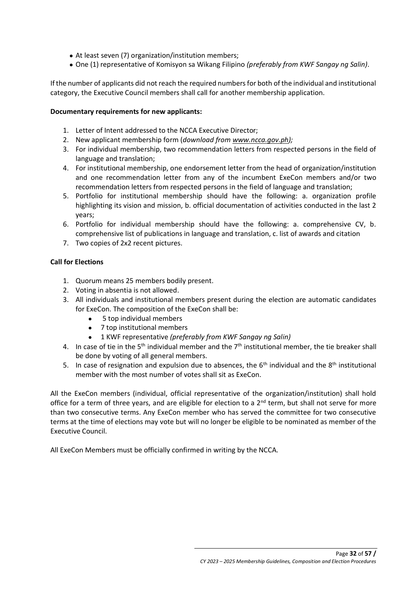- At least seven (7) organization/institution members;
- One (1) representative of Komisyon sa Wikang Filipino *(preferably from KWF Sangay ng Salin)*.

If the number of applicants did not reach the required numbers for both of the individual and institutional category, the Executive Council members shall call for another membership application.

## **Documentary requirements for new applicants:**

- 1. Letter of Intent addressed to the NCCA Executive Director;
- 2. New applicant membership form (*download from [www.ncca.gov.ph\)](http://www.ncca.gov.ph/);*
- 3. For individual membership, two recommendation letters from respected persons in the field of language and translation;
- 4. For institutional membership, one endorsement letter from the head of organization/institution and one recommendation letter from any of the incumbent ExeCon members and/or two recommendation letters from respected persons in the field of language and translation;
- 5. Portfolio for institutional membership should have the following: a. organization profile highlighting its vision and mission, b. official documentation of activities conducted in the last 2 years;
- 6. Portfolio for individual membership should have the following: a. comprehensive CV, b. comprehensive list of publications in language and translation, c. list of awards and citation
- 7. Two copies of 2x2 recent pictures.

# **Call for Elections**

- 1. Quorum means 25 members bodily present.
- 2. Voting in absentia is not allowed.
- 3. All individuals and institutional members present during the election are automatic candidates for ExeCon. The composition of the ExeCon shall be:
	- 5 top individual members
	- 7 top institutional members
	- 1 KWF representative *(preferably from KWF Sangay ng Salin)*
- 4. In case of tie in the 5<sup>th</sup> individual member and the  $7<sup>th</sup>$  institutional member, the tie breaker shall be done by voting of all general members.
- 5. In case of resignation and expulsion due to absences, the  $6<sup>th</sup>$  individual and the 8<sup>th</sup> institutional member with the most number of votes shall sit as ExeCon.

All the ExeCon members (individual, official representative of the organization/institution) shall hold office for a term of three years, and are eligible for election to a 2<sup>nd</sup> term, but shall not serve for more than two consecutive terms. Any ExeCon member who has served the committee for two consecutive terms at the time of elections may vote but will no longer be eligible to be nominated as member of the Executive Council.

All ExeCon Members must be officially confirmed in writing by the NCCA.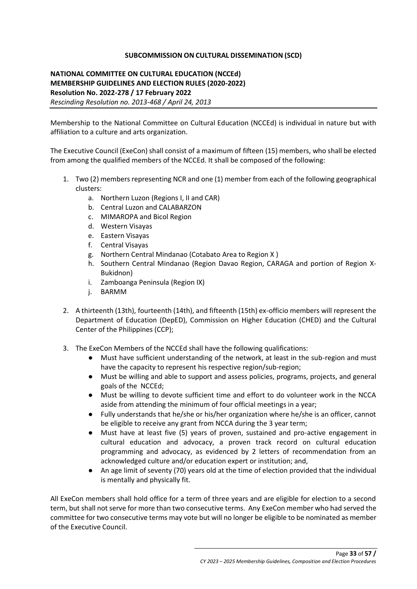## **SUBCOMMISSION ON CULTURAL DISSEMINATION (SCD)**

**NATIONAL COMMITTEE ON CULTURAL EDUCATION (NCCEd) MEMBERSHIP GUIDELINES AND ELECTION RULES (2020-2022) Resolution No. 2022-278 / 17 February 2022** *Rescinding Resolution no. 2013-468 / April 24, 2013*

Membership to the National Committee on Cultural Education (NCCEd) is individual in nature but with affiliation to a culture and arts organization.

The Executive Council (ExeCon) shall consist of a maximum of fifteen (15) members, who shall be elected from among the qualified members of the NCCEd. It shall be composed of the following:

- 1. Two (2) members representing NCR and one (1) member from each of the following geographical clusters:
	- a. Northern Luzon (Regions I, II and CAR)
	- b. Central Luzon and CALABARZON
	- c. MIMAROPA and Bicol Region
	- d. Western Visayas
	- e. Eastern Visayas
	- f. Central Visayas
	- g. Northern Central Mindanao (Cotabato Area to Region X )
	- h. Southern Central Mindanao (Region Davao Region, CARAGA and portion of Region X-Bukidnon)
	- i. Zamboanga Peninsula (Region IX)
	- j. BARMM
- 2. A thirteenth (13th), fourteenth (14th), and fifteenth (15th) ex-officio members will represent the Department of Education (DepED), Commission on Higher Education (CHED) and the Cultural Center of the Philippines (CCP);
- 3. The ExeCon Members of the NCCEd shall have the following qualifications:
	- Must have sufficient understanding of the network, at least in the sub-region and must have the capacity to represent his respective region/sub-region;
	- Must be willing and able to support and assess policies, programs, projects, and general goals of the NCCEd;
	- Must be willing to devote sufficient time and effort to do volunteer work in the NCCA aside from attending the minimum of four official meetings in a year;
	- Fully understands that he/she or his/her organization where he/she is an officer, cannot be eligible to receive any grant from NCCA during the 3 year term;
	- Must have at least five (5) years of proven, sustained and pro-active engagement in cultural education and advocacy, a proven track record on cultural education programming and advocacy, as evidenced by 2 letters of recommendation from an acknowledged culture and/or education expert or institution; and,
	- An age limit of seventy (70) years old at the time of election provided that the individual is mentally and physically fit.

All ExeCon members shall hold office for a term of three years and are eligible for election to a second term, but shall not serve for more than two consecutive terms. Any ExeCon member who had served the committee for two consecutive terms may vote but will no longer be eligible to be nominated as member of the Executive Council.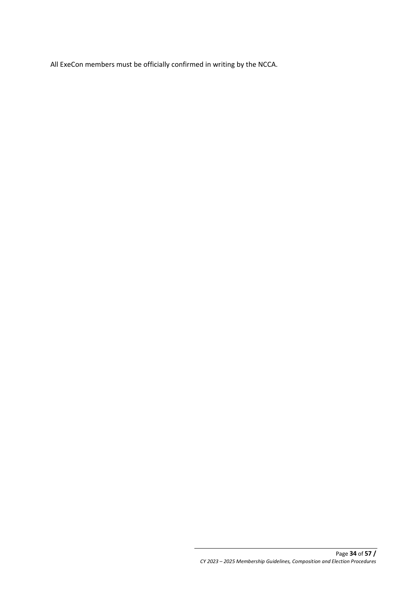All ExeCon members must be officially confirmed in writing by the NCCA.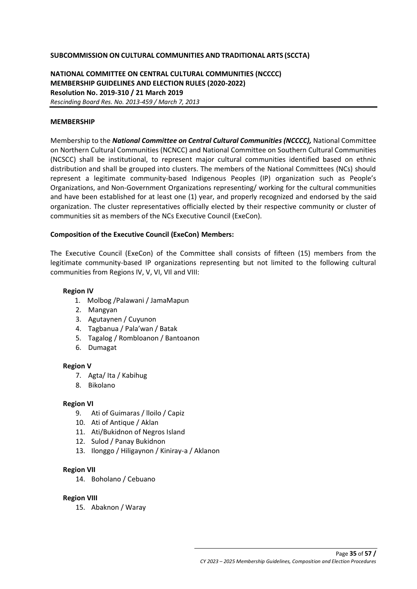#### **SUBCOMMISSION ON CULTURAL COMMUNITIES AND TRADITIONAL ARTS (SCCTA)**

**NATIONAL COMMITTEE ON CENTRAL CULTURAL COMMUNITIES (NCCCC) MEMBERSHIP GUIDELINES AND ELECTION RULES (2020-2022) Resolution No. 2019-310 / 21 March 2019** *Rescinding Board Res. No. 2013-459 / March 7, 2013*

#### **MEMBERSHIP**

Membership to the *National Committee on Central Cultural Communities (NCCCC),* National Committee on Northern Cultural Communities (NCNCC) and National Committee on Southern Cultural Communities (NCSCC) shall be institutional, to represent major cultural communities identified based on ethnic distribution and shall be grouped into clusters. The members of the National Committees (NCs) should represent a legitimate community-based Indigenous Peoples (IP) organization such as People's Organizations, and Non-Government Organizations representing/ working for the cultural communities and have been established for at least one (1) year, and properly recognized and endorsed by the said organization. The cluster representatives officially elected by their respective community or cluster of communities sit as members of the NCs Executive Council (ExeCon).

#### **Composition of the Executive Council (ExeCon) Members:**

The Executive Council (ExeCon) of the Committee shall consists of fifteen (15) members from the legitimate community-based IP organizations representing but not limited to the following cultural communities from Regions IV, V, VI, VIl and VIII:

#### **Region IV**

- 1. Molbog /Palawani / JamaMapun
- 2. Mangyan
- 3. Agutaynen / Cuyunon
- 4. Tagbanua / Pala'wan / Batak
- 5. Tagalog / Rombloanon / Bantoanon
- 6. Dumagat

#### **Region V**

- 7. Agta/ Ita / Kabihug
- 8. Bikolano

#### **Region VI**

- 9. Ati of Guimaras / lloilo / Capiz
- 10. Ati of Antique / Aklan
- 11. Ati/Bukidnon of Negros Island
- 12. Sulod / Panay Bukidnon
- 13. Ilonggo / Hiligaynon / Kiniray-a / Aklanon

#### **Region VII**

14. Boholano / Cebuano

#### **Region VIII**

15. Abaknon / Waray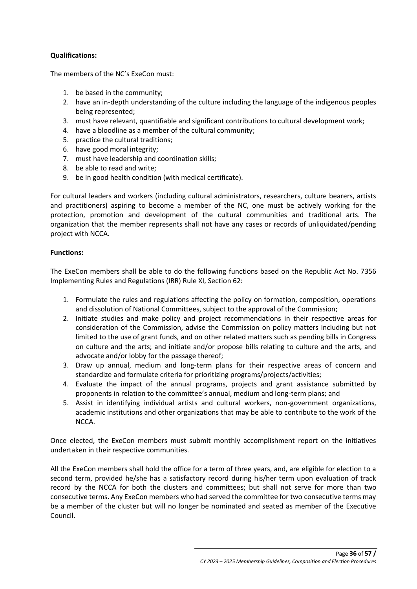# **Qualifications:**

The members of the NC's ExeCon must:

- 1. be based in the community;
- 2. have an in-depth understanding of the culture including the language of the indigenous peoples being represented;
- 3. must have relevant, quantifiable and significant contributions to cultural development work;
- 4. have a bloodline as a member of the cultural community;
- 5. practice the cultural traditions;
- 6. have good moral integrity;
- 7. must have leadership and coordination skills;
- 8. be able to read and write;
- 9. be in good health condition (with medical certificate).

For cultural leaders and workers (including cultural administrators, researchers, culture bearers, artists and practitioners) aspiring to become a member of the NC, one must be actively working for the protection, promotion and development of the cultural communities and traditional arts. The organization that the member represents shall not have any cases or records of unliquidated/pending project with NCCA.

## **Functions:**

The ExeCon members shall be able to do the following functions based on the Republic Act No. 7356 Implementing Rules and Regulations (IRR) Rule XI, Section 62:

- 1. Formulate the rules and regulations affecting the policy on formation, composition, operations and dissolution of National Committees, subject to the approval of the Commission;
- 2. Initiate studies and make policy and project recommendations in their respective areas for consideration of the Commission, advise the Commission on policy matters including but not limited to the use of grant funds, and on other related matters such as pending bills in Congress on culture and the arts; and initiate and/or propose bills relating to culture and the arts, and advocate and/or lobby for the passage thereof;
- 3. Draw up annual, medium and long-term plans for their respective areas of concern and standardize and formulate criteria for prioritizing programs/projects/activities;
- 4. Evaluate the impact of the annual programs, projects and grant assistance submitted by proponents in relation to the committee's annual, medium and long-term plans; and
- 5. Assist in identifying individual artists and cultural workers, non-government organizations, academic institutions and other organizations that may be able to contribute to the work of the NCCA.

Once elected, the ExeCon members must submit monthly accomplishment report on the initiatives undertaken in their respective communities.

All the ExeCon members shall hold the office for a term of three years, and, are eligible for election to a second term, provided he/she has a satisfactory record during his/her term upon evaluation of track record by the NCCA for both the clusters and committees; but shall not serve for more than two consecutive terms. Any ExeCon members who had served the committee for two consecutive terms may be a member of the cluster but will no longer be nominated and seated as member of the Executive Council.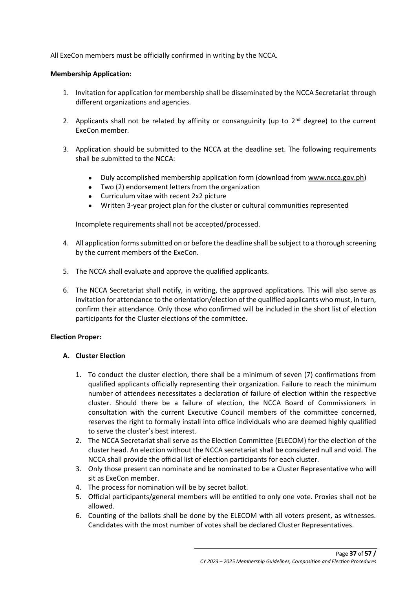All ExeCon members must be officially confirmed in writing by the NCCA.

## **Membership Application:**

- 1. Invitation for application for membership shall be disseminated by the NCCA Secretariat through different organizations and agencies.
- 2. Applicants shall not be related by affinity or consanguinity (up to  $2^{nd}$  degree) to the current ExeCon member.
- 3. Application should be submitted to the NCCA at the deadline set. The following requirements shall be submitted to the NCCA:
	- Duly accomplished membership application form (download from [www.ncca.gov.ph\)](http://www.ncca.gov.ph/)
	- Two (2) endorsement letters from the organization
	- Curriculum vitae with recent 2x2 picture
	- Written 3-year project plan for the cluster or cultural communities represented

Incomplete requirements shall not be accepted/processed.

- 4. All application forms submitted on or before the deadline shall be subject to a thorough screening by the current members of the ExeCon.
- 5. The NCCA shall evaluate and approve the qualified applicants.
- 6. The NCCA Secretariat shall notify, in writing, the approved applications. This will also serve as invitation for attendance to the orientation/election of the qualified applicants who must, in turn, confirm their attendance. Only those who confirmed will be included in the short list of election participants for the Cluster elections of the committee.

## **Election Proper:**

## **A. Cluster Election**

- 1. To conduct the cluster election, there shall be a minimum of seven (7) confirmations from qualified applicants officially representing their organization. Failure to reach the minimum number of attendees necessitates a declaration of failure of election within the respective cluster. Should there be a failure of election, the NCCA Board of Commissioners in consultation with the current Executive Council members of the committee concerned, reserves the right to formally install into office individuals who are deemed highly qualified to serve the cluster's best interest.
- 2. The NCCA Secretariat shall serve as the Election Committee (ELECOM) for the election of the cluster head. An election without the NCCA secretariat shall be considered null and void. The NCCA shall provide the official list of election participants for each cluster.
- 3. Only those present can nominate and be nominated to be a Cluster Representative who will sit as ExeCon member.
- 4. The process for nomination will be by secret ballot.
- 5. Official participants/general members will be entitled to only one vote. Proxies shall not be allowed.
- 6. Counting of the ballots shall be done by the ELECOM with all voters present, as witnesses. Candidates with the most number of votes shall be declared Cluster Representatives.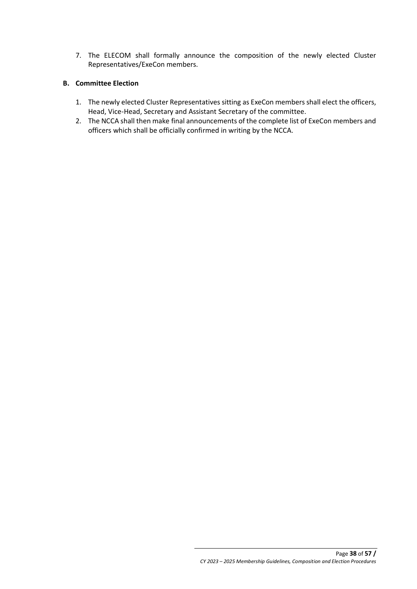7. The ELECOM shall formally announce the composition of the newly elected Cluster Representatives/ExeCon members.

## **B. Committee Election**

- 1. The newly elected Cluster Representatives sitting as ExeCon members shall elect the officers, Head, Vice-Head, Secretary and Assistant Secretary of the committee.
- 2. The NCCA shall then make final announcements of the complete list of ExeCon members and officers which shall be officially confirmed in writing by the NCCA.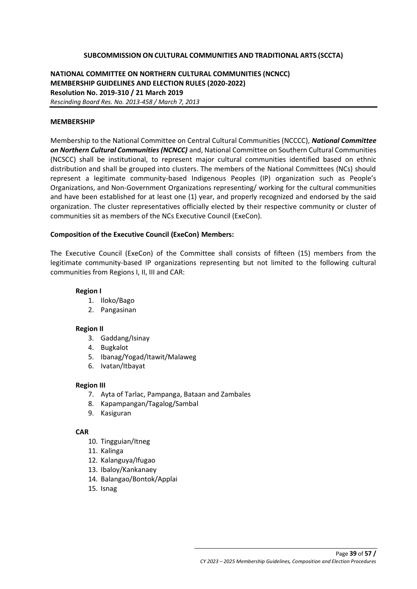### **SUBCOMMISSION ON CULTURAL COMMUNITIES AND TRADITIONAL ARTS (SCCTA)**

## **NATIONAL COMMITTEE ON NORTHERN CULTURAL COMMUNITIES (NCNCC) MEMBERSHIP GUIDELINES AND ELECTION RULES (2020-2022) Resolution No. 2019-310 / 21 March 2019** *Rescinding Board Res. No. 2013-458 / March 7, 2013*

#### **MEMBERSHIP**

Membership to the National Committee on Central Cultural Communities (NCCCC), *National Committee on Northern Cultural Communities (NCNCC)* and, National Committee on Southern Cultural Communities (NCSCC) shall be institutional, to represent major cultural communities identified based on ethnic distribution and shall be grouped into clusters. The members of the National Committees (NCs) should represent a legitimate community-based Indigenous Peoples (IP) organization such as People's Organizations, and Non-Government Organizations representing/ working for the cultural communities and have been established for at least one (1) year, and properly recognized and endorsed by the said organization. The cluster representatives officially elected by their respective community or cluster of communities sit as members of the NCs Executive Council (ExeCon).

#### **Composition of the Executive Council (ExeCon) Members:**

The Executive Council (ExeCon) of the Committee shall consists of fifteen (15) members from the legitimate community-based IP organizations representing but not limited to the following cultural communities from Regions I, II, III and CAR:

#### **Region I**

- 1. Iloko/Bago
- 2. Pangasinan

#### **Region II**

- 3. Gaddang/Isinay
- 4. Bugkalot
- 5. Ibanag/Yogad/Itawit/Malaweg
- 6. Ivatan/Itbayat

#### **Region III**

- 7. Ayta of Tarlac, Pampanga, Bataan and Zambales
- 8. Kapampangan/Tagalog/Sambal
- 9. Kasiguran

#### **CAR**

- 10. Tingguian/Itneg
- 11. Kalinga
- 12. Kalanguya/Ifugao
- 13. Ibaloy/Kankanaey
- 14. Balangao/Bontok/Applai
- 15. Isnag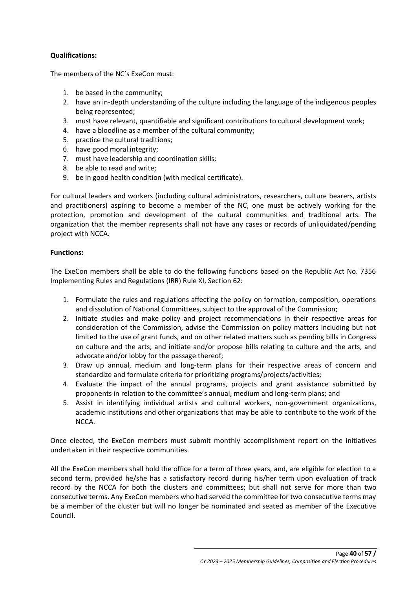# **Qualifications:**

The members of the NC's ExeCon must:

- 1. be based in the community;
- 2. have an in-depth understanding of the culture including the language of the indigenous peoples being represented;
- 3. must have relevant, quantifiable and significant contributions to cultural development work;
- 4. have a bloodline as a member of the cultural community;
- 5. practice the cultural traditions;
- 6. have good moral integrity;
- 7. must have leadership and coordination skills;
- 8. be able to read and write;
- 9. be in good health condition (with medical certificate).

For cultural leaders and workers (including cultural administrators, researchers, culture bearers, artists and practitioners) aspiring to become a member of the NC, one must be actively working for the protection, promotion and development of the cultural communities and traditional arts. The organization that the member represents shall not have any cases or records of unliquidated/pending project with NCCA.

## **Functions:**

The ExeCon members shall be able to do the following functions based on the Republic Act No. 7356 Implementing Rules and Regulations (IRR) Rule XI, Section 62:

- 1. Formulate the rules and regulations affecting the policy on formation, composition, operations and dissolution of National Committees, subject to the approval of the Commission;
- 2. Initiate studies and make policy and project recommendations in their respective areas for consideration of the Commission, advise the Commission on policy matters including but not limited to the use of grant funds, and on other related matters such as pending bills in Congress on culture and the arts; and initiate and/or propose bills relating to culture and the arts, and advocate and/or lobby for the passage thereof;
- 3. Draw up annual, medium and long-term plans for their respective areas of concern and standardize and formulate criteria for prioritizing programs/projects/activities;
- 4. Evaluate the impact of the annual programs, projects and grant assistance submitted by proponents in relation to the committee's annual, medium and long-term plans; and
- 5. Assist in identifying individual artists and cultural workers, non-government organizations, academic institutions and other organizations that may be able to contribute to the work of the NCCA.

Once elected, the ExeCon members must submit monthly accomplishment report on the initiatives undertaken in their respective communities.

All the ExeCon members shall hold the office for a term of three years, and, are eligible for election to a second term, provided he/she has a satisfactory record during his/her term upon evaluation of track record by the NCCA for both the clusters and committees; but shall not serve for more than two consecutive terms. Any ExeCon members who had served the committee for two consecutive terms may be a member of the cluster but will no longer be nominated and seated as member of the Executive Council.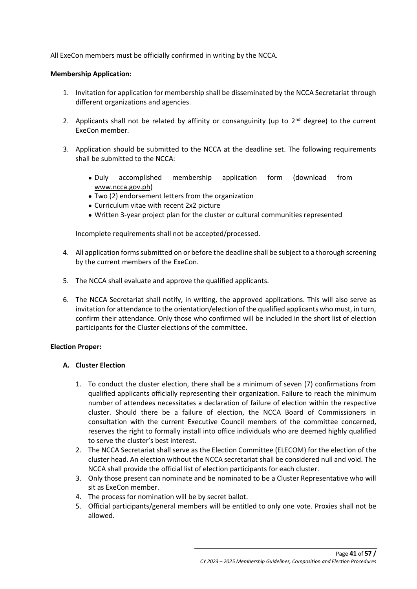All ExeCon members must be officially confirmed in writing by the NCCA.

## **Membership Application:**

- 1. Invitation for application for membership shall be disseminated by the NCCA Secretariat through different organizations and agencies.
- 2. Applicants shall not be related by affinity or consanguinity (up to  $2^{nd}$  degree) to the current ExeCon member.
- 3. Application should be submitted to the NCCA at the deadline set. The following requirements shall be submitted to the NCCA:
	- Duly accomplished membership application form (download from [www.ncca.gov.ph\)](http://www.ncca.gov.ph/)
	- Two (2) endorsement letters from the organization
	- Curriculum vitae with recent 2x2 picture
	- Written 3-year project plan for the cluster or cultural communities represented

Incomplete requirements shall not be accepted/processed.

- 4. All application forms submitted on or before the deadline shall be subject to a thorough screening by the current members of the ExeCon.
- 5. The NCCA shall evaluate and approve the qualified applicants.
- 6. The NCCA Secretariat shall notify, in writing, the approved applications. This will also serve as invitation for attendance to the orientation/election of the qualified applicants who must, in turn, confirm their attendance. Only those who confirmed will be included in the short list of election participants for the Cluster elections of the committee.

## **Election Proper:**

## **A. Cluster Election**

- 1. To conduct the cluster election, there shall be a minimum of seven (7) confirmations from qualified applicants officially representing their organization. Failure to reach the minimum number of attendees necessitates a declaration of failure of election within the respective cluster. Should there be a failure of election, the NCCA Board of Commissioners in consultation with the current Executive Council members of the committee concerned, reserves the right to formally install into office individuals who are deemed highly qualified to serve the cluster's best interest.
- 2. The NCCA Secretariat shall serve as the Election Committee (ELECOM) for the election of the cluster head. An election without the NCCA secretariat shall be considered null and void. The NCCA shall provide the official list of election participants for each cluster.
- 3. Only those present can nominate and be nominated to be a Cluster Representative who will sit as ExeCon member.
- 4. The process for nomination will be by secret ballot.
- 5. Official participants/general members will be entitled to only one vote. Proxies shall not be allowed.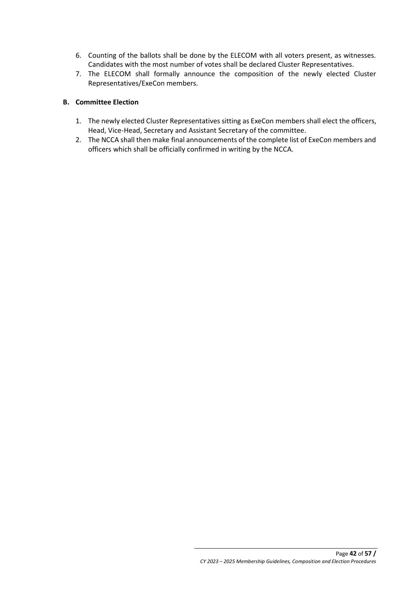- 6. Counting of the ballots shall be done by the ELECOM with all voters present, as witnesses. Candidates with the most number of votes shall be declared Cluster Representatives.
- 7. The ELECOM shall formally announce the composition of the newly elected Cluster Representatives/ExeCon members.

# **B. Committee Election**

- 1. The newly elected Cluster Representatives sitting as ExeCon members shall elect the officers, Head, Vice-Head, Secretary and Assistant Secretary of the committee.
- 2. The NCCA shall then make final announcements of the complete list of ExeCon members and officers which shall be officially confirmed in writing by the NCCA.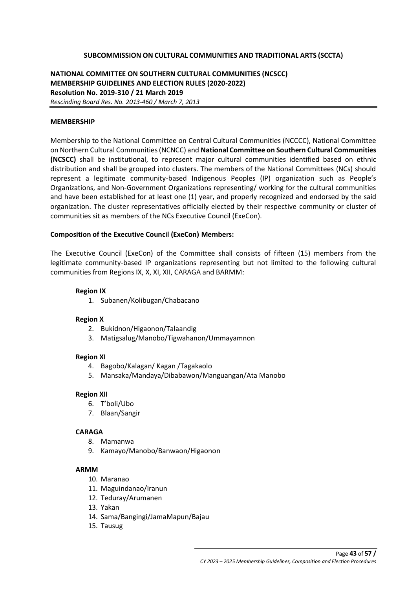## **SUBCOMMISSION ON CULTURAL COMMUNITIES AND TRADITIONAL ARTS (SCCTA)**

## **NATIONAL COMMITTEE ON SOUTHERN CULTURAL COMMUNITIES (NCSCC) MEMBERSHIP GUIDELINES AND ELECTION RULES (2020-2022) Resolution No. 2019-310 / 21 March 2019** *Rescinding Board Res. No. 2013-460 / March 7, 2013*

#### **MEMBERSHIP**

Membership to the National Committee on Central Cultural Communities (NCCCC), National Committee on Northern Cultural Communities (NCNCC) and **National Committee on Southern Cultural Communities (NCSCC)** shall be institutional, to represent major cultural communities identified based on ethnic distribution and shall be grouped into clusters. The members of the National Committees (NCs) should represent a legitimate community-based Indigenous Peoples (IP) organization such as People's Organizations, and Non-Government Organizations representing/ working for the cultural communities and have been established for at least one (1) year, and properly recognized and endorsed by the said organization. The cluster representatives officially elected by their respective community or cluster of communities sit as members of the NCs Executive Council (ExeCon).

#### **Composition of the Executive Council (ExeCon) Members:**

The Executive Council (ExeCon) of the Committee shall consists of fifteen (15) members from the legitimate community-based IP organizations representing but not limited to the following cultural communities from Regions IX, X, XI, XII, CARAGA and BARMM:

#### **Region IX**

1. Subanen/Kolibugan/Chabacano

#### **Region X**

- 2. Bukidnon/Higaonon/Talaandig
- 3. Matigsalug/Manobo/Tigwahanon/Ummayamnon

#### **Region XI**

- 4. Bagobo/Kalagan/ Kagan /Tagakaolo
- 5. Mansaka/Mandaya/Dibabawon/Manguangan/Ata Manobo

#### **Region XII**

- 6. T'boli/Ubo
- 7. Blaan/Sangir

#### **CARAGA**

- 8. Mamanwa
- 9. Kamayo/Manobo/Banwaon/Higaonon

#### **ARMM**

- 10. Maranao
- 11. Maguindanao/Iranun
- 12. Teduray/Arumanen
- 13. Yakan
- 14. Sama/Bangingi/JamaMapun/Bajau
- 15. Tausug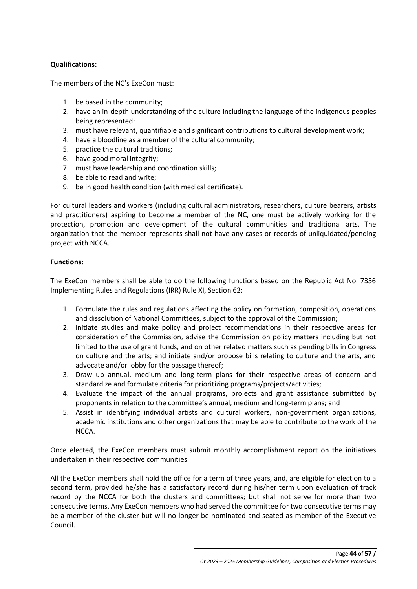# **Qualifications:**

The members of the NC's ExeCon must:

- 1. be based in the community;
- 2. have an in-depth understanding of the culture including the language of the indigenous peoples being represented;
- 3. must have relevant, quantifiable and significant contributions to cultural development work;
- 4. have a bloodline as a member of the cultural community;
- 5. practice the cultural traditions;
- 6. have good moral integrity;
- 7. must have leadership and coordination skills;
- 8. be able to read and write;
- 9. be in good health condition (with medical certificate).

For cultural leaders and workers (including cultural administrators, researchers, culture bearers, artists and practitioners) aspiring to become a member of the NC, one must be actively working for the protection, promotion and development of the cultural communities and traditional arts. The organization that the member represents shall not have any cases or records of unliquidated/pending project with NCCA.

## **Functions:**

The ExeCon members shall be able to do the following functions based on the Republic Act No. 7356 Implementing Rules and Regulations (IRR) Rule XI, Section 62:

- 1. Formulate the rules and regulations affecting the policy on formation, composition, operations and dissolution of National Committees, subject to the approval of the Commission;
- 2. Initiate studies and make policy and project recommendations in their respective areas for consideration of the Commission, advise the Commission on policy matters including but not limited to the use of grant funds, and on other related matters such as pending bills in Congress on culture and the arts; and initiate and/or propose bills relating to culture and the arts, and advocate and/or lobby for the passage thereof;
- 3. Draw up annual, medium and long-term plans for their respective areas of concern and standardize and formulate criteria for prioritizing programs/projects/activities;
- 4. Evaluate the impact of the annual programs, projects and grant assistance submitted by proponents in relation to the committee's annual, medium and long-term plans; and
- 5. Assist in identifying individual artists and cultural workers, non-government organizations, academic institutions and other organizations that may be able to contribute to the work of the NCCA.

Once elected, the ExeCon members must submit monthly accomplishment report on the initiatives undertaken in their respective communities.

All the ExeCon members shall hold the office for a term of three years, and, are eligible for election to a second term, provided he/she has a satisfactory record during his/her term upon evaluation of track record by the NCCA for both the clusters and committees; but shall not serve for more than two consecutive terms. Any ExeCon members who had served the committee for two consecutive terms may be a member of the cluster but will no longer be nominated and seated as member of the Executive Council.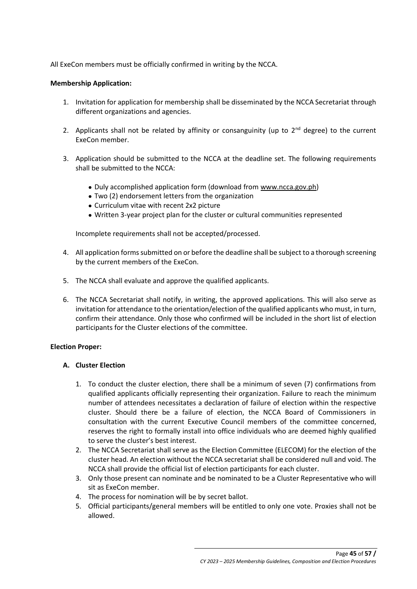All ExeCon members must be officially confirmed in writing by the NCCA.

## **Membership Application:**

- 1. Invitation for application for membership shall be disseminated by the NCCA Secretariat through different organizations and agencies.
- 2. Applicants shall not be related by affinity or consanguinity (up to  $2^{nd}$  degree) to the current ExeCon member.
- 3. Application should be submitted to the NCCA at the deadline set. The following requirements shall be submitted to the NCCA:
	- Duly accomplished application form (download from [www.ncca.gov.ph\)](http://www.ncca.gov.ph/)
	- Two (2) endorsement letters from the organization
	- Curriculum vitae with recent 2x2 picture
	- Written 3-year project plan for the cluster or cultural communities represented

Incomplete requirements shall not be accepted/processed.

- 4. All application forms submitted on or before the deadline shall be subject to a thorough screening by the current members of the ExeCon.
- 5. The NCCA shall evaluate and approve the qualified applicants.
- 6. The NCCA Secretariat shall notify, in writing, the approved applications. This will also serve as invitation for attendance to the orientation/election of the qualified applicants who must, in turn, confirm their attendance. Only those who confirmed will be included in the short list of election participants for the Cluster elections of the committee.

## **Election Proper:**

## **A. Cluster Election**

- 1. To conduct the cluster election, there shall be a minimum of seven (7) confirmations from qualified applicants officially representing their organization. Failure to reach the minimum number of attendees necessitates a declaration of failure of election within the respective cluster. Should there be a failure of election, the NCCA Board of Commissioners in consultation with the current Executive Council members of the committee concerned, reserves the right to formally install into office individuals who are deemed highly qualified to serve the cluster's best interest.
- 2. The NCCA Secretariat shall serve as the Election Committee (ELECOM) for the election of the cluster head. An election without the NCCA secretariat shall be considered null and void. The NCCA shall provide the official list of election participants for each cluster.
- 3. Only those present can nominate and be nominated to be a Cluster Representative who will sit as ExeCon member.
- 4. The process for nomination will be by secret ballot.
- 5. Official participants/general members will be entitled to only one vote. Proxies shall not be allowed.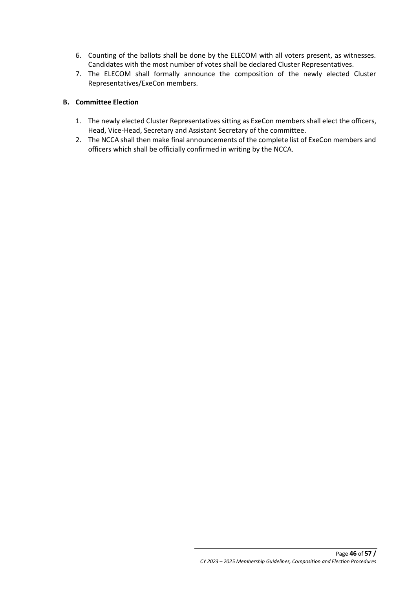- 6. Counting of the ballots shall be done by the ELECOM with all voters present, as witnesses. Candidates with the most number of votes shall be declared Cluster Representatives.
- 7. The ELECOM shall formally announce the composition of the newly elected Cluster Representatives/ExeCon members.

# **B. Committee Election**

- 1. The newly elected Cluster Representatives sitting as ExeCon members shall elect the officers, Head, Vice-Head, Secretary and Assistant Secretary of the committee.
- 2. The NCCA shall then make final announcements of the complete list of ExeCon members and officers which shall be officially confirmed in writing by the NCCA.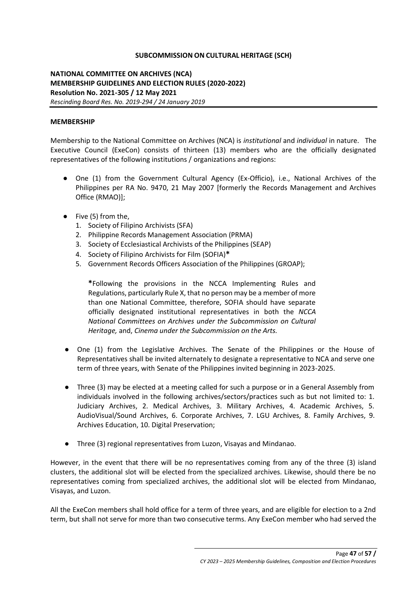## **SUBCOMMISSION ON CULTURAL HERITAGE (SCH)**

**NATIONAL COMMITTEE ON ARCHIVES (NCA) MEMBERSHIP GUIDELINES AND ELECTION RULES (2020-2022) Resolution No. 2021-305 / 12 May 2021** *Rescinding Board Res. No. 2019-294 / 24 January 2019*

### **MEMBERSHIP**

Membership to the National Committee on Archives (NCA) is *institutional* and *individual* in nature. The Executive Council (ExeCon) consists of thirteen (13) members who are the officially designated representatives of the following institutions / organizations and regions:

- One (1) from the Government Cultural Agency (Ex-Officio), i.e., National Archives of the Philippines per RA No. 9470, 21 May 2007 [formerly the Records Management and Archives Office (RMAO)];
- Five (5) from the,
	- 1. Society of Filipino Archivists (SFA)
	- 2. Philippine Records Management Association (PRMA)
	- 3. Society of Ecclesiastical Archivists of the Philippines (SEAP)
	- 4. Society of Filipino Archivists for Film (SOFIA)**\***
	- 5. Government Records Officers Association of the Philippines (GROAP);

**\***Following the provisions in the NCCA Implementing Rules and Regulations, particularly Rule X, that no person may be a member of more than one National Committee, therefore, SOFIA should have separate officially designated institutional representatives in both the *NCCA National Committees on Archives under the Subcommission on Cultural Heritage,* and, *Cinema under the Subcommission on the Arts.* 

- One (1) from the Legislative Archives. The Senate of the Philippines or the House of Representatives shall be invited alternately to designate a representative to NCA and serve one term of three years, with Senate of the Philippines invited beginning in 2023-2025.
- Three (3) may be elected at a meeting called for such a purpose or in a General Assembly from individuals involved in the following archives/sectors/practices such as but not limited to: 1. Judiciary Archives, 2. Medical Archives, 3. Military Archives, 4. Academic Archives, 5. AudioVisual/Sound Archives, 6. Corporate Archives, 7. LGU Archives, 8. Family Archives, 9. Archives Education, 10. Digital Preservation;
- Three (3) regional representatives from Luzon, Visayas and Mindanao.

However, in the event that there will be no representatives coming from any of the three (3) island clusters, the additional slot will be elected from the specialized archives. Likewise, should there be no representatives coming from specialized archives, the additional slot will be elected from Mindanao, Visayas, and Luzon.

All the ExeCon members shall hold office for a term of three years, and are eligible for election to a 2nd term, but shall not serve for more than two consecutive terms. Any ExeCon member who had served the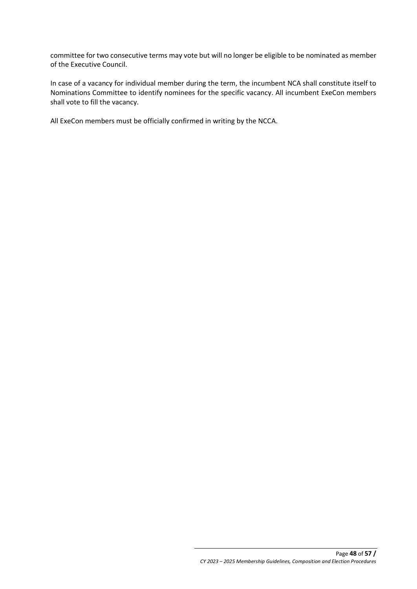committee for two consecutive terms may vote but will no longer be eligible to be nominated as member of the Executive Council.

In case of a vacancy for individual member during the term, the incumbent NCA shall constitute itself to Nominations Committee to identify nominees for the specific vacancy. All incumbent ExeCon members shall vote to fill the vacancy.

All ExeCon members must be officially confirmed in writing by the NCCA.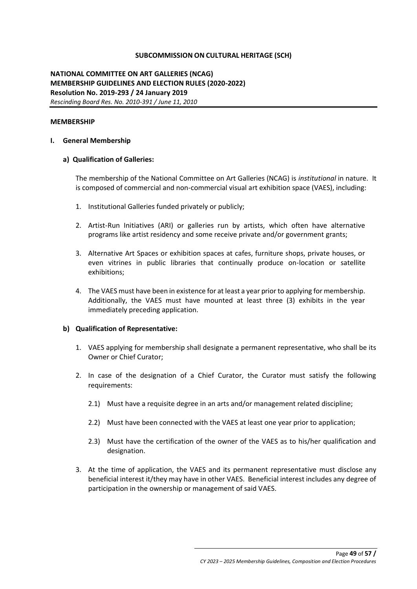### **SUBCOMMISSION ON CULTURAL HERITAGE (SCH)**

## **NATIONAL COMMITTEE ON ART GALLERIES (NCAG) MEMBERSHIP GUIDELINES AND ELECTION RULES (2020-2022) Resolution No. 2019-293 / 24 January 2019** *Rescinding Board Res. No. 2010-391 / June 11, 2010*

#### **MEMBERSHIP**

#### **I. General Membership**

#### **a) Qualification of Galleries:**

The membership of the National Committee on Art Galleries (NCAG) is *institutional* in nature. It is composed of commercial and non-commercial visual art exhibition space (VAES), including:

- 1. Institutional Galleries funded privately or publicly;
- 2. Artist-Run Initiatives (ARI) or galleries run by artists, which often have alternative programs like artist residency and some receive private and/or government grants;
- 3. Alternative Art Spaces or exhibition spaces at cafes, furniture shops, private houses, or even vitrines in public libraries that continually produce on-location or satellite exhibitions;
- 4. The VAES must have been in existence for at least a year prior to applying for membership. Additionally, the VAES must have mounted at least three (3) exhibits in the year immediately preceding application.

#### **b) Qualification of Representative:**

- 1. VAES applying for membership shall designate a permanent representative, who shall be its Owner or Chief Curator;
- 2. In case of the designation of a Chief Curator, the Curator must satisfy the following requirements:
	- 2.1) Must have a requisite degree in an arts and/or management related discipline;
	- 2.2) Must have been connected with the VAES at least one year prior to application;
	- 2.3) Must have the certification of the owner of the VAES as to his/her qualification and designation.
- 3. At the time of application, the VAES and its permanent representative must disclose any beneficial interest it/they may have in other VAES. Beneficial interest includes any degree of participation in the ownership or management of said VAES.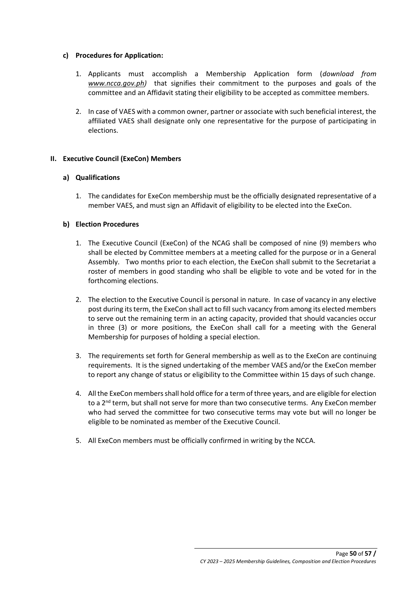## **c) Procedures for Application:**

- 1. Applicants must accomplish a Membership Application form (*download from [www.ncca.gov.ph\)](http://www.ncca.gov.ph/)* that signifies their commitment to the purposes and goals of the committee and an Affidavit stating their eligibility to be accepted as committee members.
- 2. In case of VAES with a common owner, partner or associate with such beneficial interest, the affiliated VAES shall designate only one representative for the purpose of participating in elections.

# **II. Executive Council (ExeCon) Members**

## **a) Qualifications**

1. The candidates for ExeCon membership must be the officially designated representative of a member VAES, and must sign an Affidavit of eligibility to be elected into the ExeCon.

## **b) Election Procedures**

- 1. The Executive Council (ExeCon) of the NCAG shall be composed of nine (9) members who shall be elected by Committee members at a meeting called for the purpose or in a General Assembly. Two months prior to each election, the ExeCon shall submit to the Secretariat a roster of members in good standing who shall be eligible to vote and be voted for in the forthcoming elections.
- 2. The election to the Executive Council is personal in nature. In case of vacancy in any elective post during its term, the ExeCon shall act to fill such vacancy from among its elected members to serve out the remaining term in an acting capacity, provided that should vacancies occur in three (3) or more positions, the ExeCon shall call for a meeting with the General Membership for purposes of holding a special election.
- 3. The requirements set forth for General membership as well as to the ExeCon are continuing requirements. It is the signed undertaking of the member VAES and/or the ExeCon member to report any change of status or eligibility to the Committee within 15 days of such change.
- 4. All the ExeCon members shall hold office for a term of three years, and are eligible for election to a  $2<sup>nd</sup>$  term, but shall not serve for more than two consecutive terms. Any ExeCon member who had served the committee for two consecutive terms may vote but will no longer be eligible to be nominated as member of the Executive Council.
- 5. All ExeCon members must be officially confirmed in writing by the NCCA.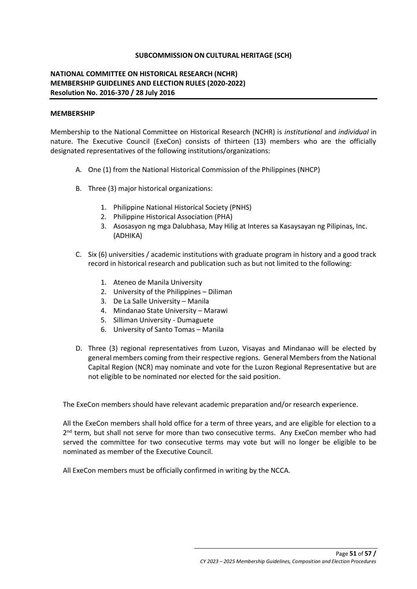## **SUBCOMMISSION ON CULTURAL HERITAGE (SCH)**

# **NATIONAL COMMITTEE ON HISTORICAL RESEARCH (NCHR) MEMBERSHIP GUIDELINES AND ELECTION RULES (2020-2022) Resolution No. 2016-370 / 28 July 2016**

#### **MEMBERSHIP**

Membership to the National Committee on Historical Research (NCHR) is *institutional* and *individual* in nature. The Executive Council (ExeCon) consists of thirteen (13) members who are the officially designated representatives of the following institutions/organizations:

- A. One (1) from the National Historical Commission of the Philippines (NHCP)
- B. Three (3) major historical organizations:
	- 1. Philippine National Historical Society (PNHS)
	- 2. Philippine Historical Association (PHA)
	- 3. Asosasyon ng mga Dalubhasa, May Hilig at Interes sa Kasaysayan ng Pilipinas, Inc. (ADHIKA)
- C. Six (6) universities / academic institutions with graduate program in history and a good track record in historical research and publication such as but not limited to the following:
	- 1. Ateneo de Manila University
	- 2. University of the Philippines Diliman
	- 3. De La Salle University Manila
	- 4. Mindanao State University Marawi
	- 5. Silliman University Dumaguete
	- 6. University of Santo Tomas Manila
- D. Three (3) regional representatives from Luzon, Visayas and Mindanao will be elected by general members coming from their respective regions. General Members from the National Capital Region (NCR) may nominate and vote for the Luzon Regional Representative but are not eligible to be nominated nor elected for the said position.

The ExeCon members should have relevant academic preparation and/or research experience.

All the ExeCon members shall hold office for a term of three years, and are eligible for election to a 2<sup>nd</sup> term, but shall not serve for more than two consecutive terms. Any ExeCon member who had served the committee for two consecutive terms may vote but will no longer be eligible to be nominated as member of the Executive Council.

All ExeCon members must be officially confirmed in writing by the NCCA.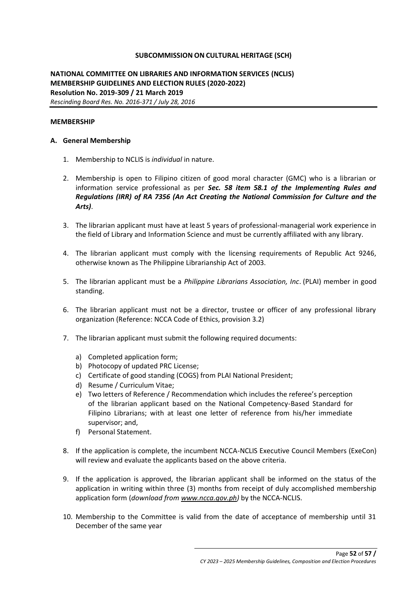## **SUBCOMMISSION ON CULTURAL HERITAGE (SCH)**

**NATIONAL COMMITTEE ON LIBRARIES AND INFORMATION SERVICES (NCLIS) MEMBERSHIP GUIDELINES AND ELECTION RULES (2020-2022) Resolution No. 2019-309 / 21 March 2019** *Rescinding Board Res. No. 2016-371 / July 28, 2016*

#### **MEMBERSHIP**

#### **A. General Membership**

- 1. Membership to NCLIS is *individual* in nature.
- 2. Membership is open to Filipino citizen of good moral character (GMC) who is a librarian or information service professional as per *Sec. 58 item 58.1 of the Implementing Rules and Regulations (IRR) of RA 7356 (An Act Creating the National Commission for Culture and the Arts)*.
- 3. The librarian applicant must have at least 5 years of professional-managerial work experience in the field of Library and Information Science and must be currently affiliated with any library.
- 4. The librarian applicant must comply with the licensing requirements of Republic Act 9246, otherwise known as The Philippine Librarianship Act of 2003.
- 5. The librarian applicant must be a *Philippine Librarians Association, Inc*. (PLAI) member in good standing.
- 6. The librarian applicant must not be a director, trustee or officer of any professional library organization (Reference: NCCA Code of Ethics, provision 3.2)
- 7. The librarian applicant must submit the following required documents:
	- a) Completed application form;
	- b) Photocopy of updated PRC License;
	- c) Certificate of good standing (COGS) from PLAI National President;
	- d) Resume / Curriculum Vitae;
	- e) Two letters of Reference / Recommendation which includes the referee's perception of the librarian applicant based on the National Competency-Based Standard for Filipino Librarians; with at least one letter of reference from his/her immediate supervisor; and,
	- f) Personal Statement.
- 8. If the application is complete, the incumbent NCCA-NCLIS Executive Council Members (ExeCon) will review and evaluate the applicants based on the above criteria.
- 9. If the application is approved, the librarian applicant shall be informed on the status of the application in writing within three (3) months from receipt of duly accomplished membership application form (*download fro[m www.ncca.gov.ph\)](http://www.ncca.gov.ph/)* by the NCCA-NCLIS.
- 10. Membership to the Committee is valid from the date of acceptance of membership until 31 December of the same year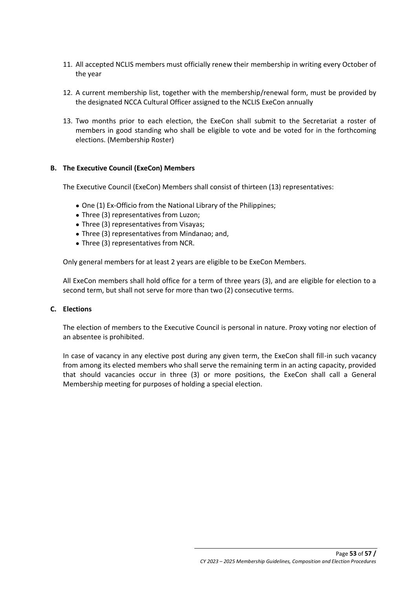- 11. All accepted NCLIS members must officially renew their membership in writing every October of the year
- 12. A current membership list, together with the membership/renewal form, must be provided by the designated NCCA Cultural Officer assigned to the NCLIS ExeCon annually
- 13. Two months prior to each election, the ExeCon shall submit to the Secretariat a roster of members in good standing who shall be eligible to vote and be voted for in the forthcoming elections. (Membership Roster)

## **B. The Executive Council (ExeCon) Members**

The Executive Council (ExeCon) Members shall consist of thirteen (13) representatives:

- One (1) Ex-Officio from the National Library of the Philippines;
- Three (3) representatives from Luzon;
- Three (3) representatives from Visayas;
- Three (3) representatives from Mindanao; and,
- Three (3) representatives from NCR.

Only general members for at least 2 years are eligible to be ExeCon Members.

All ExeCon members shall hold office for a term of three years (3), and are eligible for election to a second term, but shall not serve for more than two (2) consecutive terms.

## **C. Elections**

The election of members to the Executive Council is personal in nature. Proxy voting nor election of an absentee is prohibited.

In case of vacancy in any elective post during any given term, the ExeCon shall fill-in such vacancy from among its elected members who shall serve the remaining term in an acting capacity, provided that should vacancies occur in three (3) or more positions, the ExeCon shall call a General Membership meeting for purposes of holding a special election.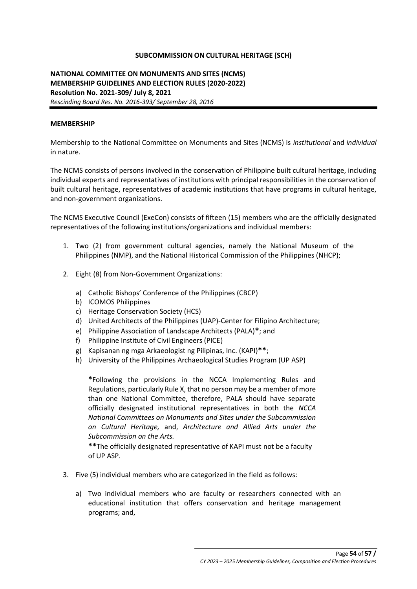## **SUBCOMMISSION ON CULTURAL HERITAGE (SCH)**

# **NATIONAL COMMITTEE ON MONUMENTS AND SITES (NCMS) MEMBERSHIP GUIDELINES AND ELECTION RULES (2020-2022) Resolution No. 2021-309/ July 8, 2021** *Rescinding Board Res. No. 2016-393/ September 28, 2016*

#### **MEMBERSHIP**

Membership to the National Committee on Monuments and Sites (NCMS) is *institutional* and *individual*  in nature.

The NCMS consists of persons involved in the conservation of Philippine built cultural heritage, including individual experts and representatives of institutions with principal responsibilities in the conservation of built cultural heritage, representatives of academic institutions that have programs in cultural heritage, and non-government organizations.

The NCMS Executive Council (ExeCon) consists of fifteen (15) members who are the officially designated representatives of the following institutions/organizations and individual members:

- 1. Two (2) from government cultural agencies, namely the National Museum of the Philippines (NMP), and the National Historical Commission of the Philippines (NHCP);
- 2. Eight (8) from Non-Government Organizations:
	- a) Catholic Bishops' Conference of the Philippines (CBCP)
	- b) ICOMOS Philippines
	- c) Heritage Conservation Society (HCS)
	- d) United Architects of the Philippines (UAP)-Center for Filipino Architecture;
	- e) Philippine Association of Landscape Architects (PALA)**\***; and
	- f) Philippine Institute of Civil Engineers (PICE)
	- g) Kapisanan ng mga Arkaeologist ng Pilipinas, Inc. (KAPI)**\*\***;
	- h) University of the Philippines Archaeological Studies Program (UP ASP)

**\***Following the provisions in the NCCA Implementing Rules and Regulations, particularly Rule X, that no person may be a member of more than one National Committee, therefore, PALA should have separate officially designated institutional representatives in both the *NCCA National Committees on Monuments and Sites under the Subcommission on Cultural Heritage,* and, *Architecture and Allied Arts under the Subcommission on the Arts.*

**\*\***The officially designated representative of KAPI must not be a faculty of UP ASP.

- 3. Five (5) individual members who are categorized in the field as follows:
	- a) Two individual members who are faculty or researchers connected with an educational institution that offers conservation and heritage management programs; and,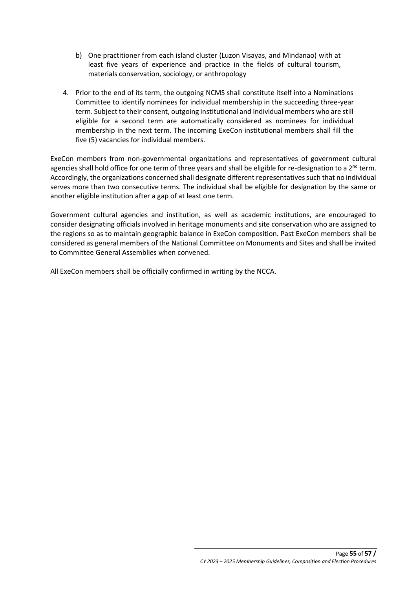- b) One practitioner from each island cluster (Luzon Visayas, and Mindanao) with at least five years of experience and practice in the fields of cultural tourism, materials conservation, sociology, or anthropology
- 4. Prior to the end of its term, the outgoing NCMS shall constitute itself into a Nominations Committee to identify nominees for individual membership in the succeeding three-year term. Subject to their consent, outgoing institutional and individual members who are still eligible for a second term are automatically considered as nominees for individual membership in the next term. The incoming ExeCon institutional members shall fill the five (5) vacancies for individual members.

ExeCon members from non-governmental organizations and representatives of government cultural agencies shall hold office for one term of three years and shall be eligible for re-designation to a  $2^{nd}$  term. Accordingly, the organizations concerned shall designate different representatives such that no individual serves more than two consecutive terms. The individual shall be eligible for designation by the same or another eligible institution after a gap of at least one term.

Government cultural agencies and institution, as well as academic institutions, are encouraged to consider designating officials involved in heritage monuments and site conservation who are assigned to the regions so as to maintain geographic balance in ExeCon composition. Past ExeCon members shall be considered as general members of the National Committee on Monuments and Sites and shall be invited to Committee General Assemblies when convened.

All ExeCon members shall be officially confirmed in writing by the NCCA.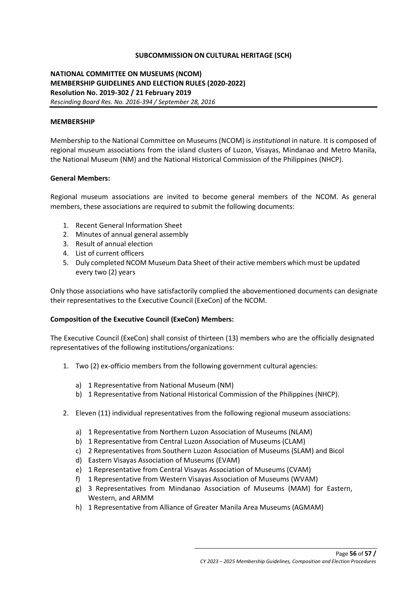## **SUBCOMMISSION ON CULTURAL HERITAGE (SCH)**

## **NATIONAL COMMITTEE ON MUSEUMS (NCOM) MEMBERSHIP GUIDELINES AND ELECTION RULES (2020-2022) Resolution No. 2019-302 / 21 February 2019** *Rescinding Board Res. No. 2016-394 / September 28, 2016*

#### **MEMBERSHIP**

Membership to the National Committee on Museums (NCOM) is *institutiona*l in nature. It is composed of regional museum associations from the island clusters of Luzon, Visayas, Mindanao and Metro Manila, the National Museum (NM) and the National Historical Commission of the Philippines (NHCP).

#### **General Members:**

Regional museum associations are invited to become general members of the NCOM. As general members, these associations are required to submit the following documents:

- 1. Recent General Information Sheet
- 2. Minutes of annual general assembly
- 3. Result of annual election
- 4. List of current officers
- 5. Duly completed NCOM Museum Data Sheet of their active members which must be updated every two (2) years

Only those associations who have satisfactorily complied the abovementioned documents can designate their representatives to the Executive Council (ExeCon) of the NCOM.

## **Composition of the Executive Council (ExeCon) Members:**

The Executive Council (ExeCon) shall consist of thirteen (13) members who are the officially designated representatives of the following institutions/organizations:

- 1. Two (2) ex-officio members from the following government cultural agencies:
	- a) 1 Representative from National Museum (NM)
	- b) 1 Representative from National Historical Commission of the Philippines (NHCP).
- 2. Eleven (11) individual representatives from the following regional museum associations:
	- a) 1 Representative from Northern Luzon Association of Museums (NLAM)
	- b) 1 Representative from Central Luzon Association of Museums (CLAM)
	- c) 2 Representatives from Southern Luzon Association of Museums (SLAM) and Bicol
	- d) Eastern Visayas Association of Museums (EVAM)
	- e) 1 Representative from Central Visayas Association of Museums (CVAM)
	- f) 1 Representative from Western Visayas Association of Museums (WVAM)
	- g) 3 Representatives from Mindanao Association of Museums (MAM) for Eastern, Western, and ARMM
	- h) 1 Representative from Alliance of Greater Manila Area Museums (AGMAM)